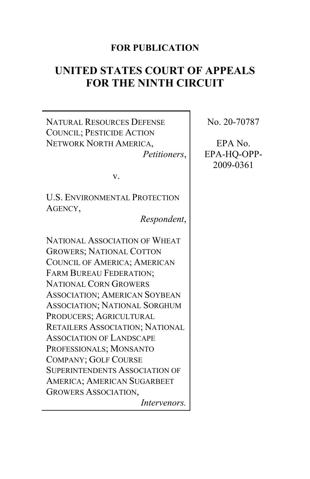# **FOR PUBLICATION**

# **UNITED STATES COURT OF APPEALS FOR THE NINTH CIRCUIT**

NATURAL RESOURCES DEFENSE COUNCIL; PESTICIDE ACTION NETWORK NORTH AMERICA, *Petitioners*,

v.

U.S. ENVIRONMENTAL PROTECTION AGENCY,

*Respondent*,

NATIONAL ASSOCIATION OF WHEAT GROWERS; NATIONAL COTTON COUNCIL OF AMERICA; AMERICAN FARM BUREAU FEDERATION; NATIONAL CORN GROWERS ASSOCIATION; AMERICAN SOYBEAN ASSOCIATION; NATIONAL SORGHUM PRODUCERS; AGRICULTURAL RETAILERS ASSOCIATION; NATIONAL ASSOCIATION OF LANDSCAPE PROFESSIONALS; MONSANTO COMPANY; GOLF COURSE SUPERINTENDENTS ASSOCIATION OF AMERICA; AMERICAN SUGARBEET GROWERS ASSOCIATION, *Intervenors.* No. 20-70787

EPA No. EPA-HQ-OPP-2009-0361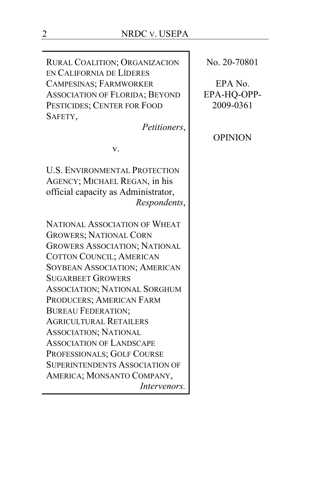RURAL COALITION; ORGANIZACION EN CALIFORNIA DE LÍDERES CAMPESINAS; FARMWORKER ASSOCIATION OF FLORIDA; BEYOND PESTICIDES; CENTER FOR FOOD SAFETY,

*Petitioners*,

v.

U.S. ENVIRONMENTAL PROTECTION AGENCY; MICHAEL REGAN, in his official capacity as Administrator, *Respondents*,

NATIONAL ASSOCIATION OF WHEAT GROWERS; NATIONAL CORN GROWERS ASSOCIATION; NATIONAL COTTON COUNCIL; AMERICAN SOYBEAN ASSOCIATION; AMERICAN SUGARBEET GROWERS ASSOCIATION; NATIONAL SORGHUM PRODUCERS; AMERICAN FARM BUREAU FEDERATION; AGRICULTURAL RETAILERS ASSOCIATION; NATIONAL ASSOCIATION OF LANDSCAPE PROFESSIONALS; GOLF COURSE SUPERINTENDENTS ASSOCIATION OF AMERICA; MONSANTO COMPANY, *Intervenors.* No. 20-70801

EPA No. EPA-HQ-OPP-2009-0361

# OPINION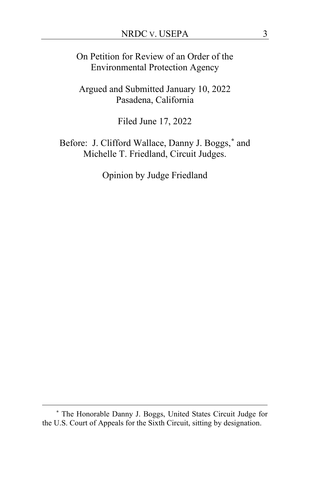On Petition for Review of an Order of the Environmental Protection Agency

Argued and Submitted January 10, 2022 Pasadena, California

Filed June 17, 2022

Before: J. Clifford Wallace, Danny J. Boggs,**[\\*](#page-2-0)** and Michelle T. Friedland, Circuit Judges.

Opinion by Judge Friedland

<span id="page-2-0"></span>**<sup>\*</sup>** The Honorable Danny J. Boggs, United States Circuit Judge for the U.S. Court of Appeals for the Sixth Circuit, sitting by designation.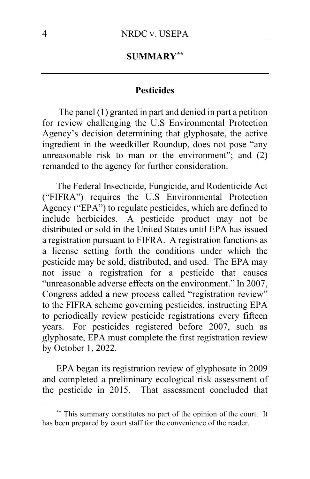# **SUMMARY[\\*\\*](#page-3-0)**

## **Pesticides**

The panel (1) granted in part and denied in part a petition for review challenging the U.S Environmental Protection Agency's decision determining that glyphosate, the active ingredient in the weedkiller Roundup, does not pose "any unreasonable risk to man or the environment"; and (2) remanded to the agency for further consideration.

The Federal Insecticide, Fungicide, and Rodenticide Act ("FIFRA") requires the U.S Environmental Protection Agency ("EPA") to regulate pesticides, which are defined to include herbicides. A pesticide product may not be distributed or sold in the United States until EPA has issued a registration pursuant to FIFRA. A registration functions as a license setting forth the conditions under which the pesticide may be sold, distributed, and used. The EPA may not issue a registration for a pesticide that causes "unreasonable adverse effects on the environment." In 2007, Congress added a new process called "registration review" to the FIFRA scheme governing pesticides, instructing EPA to periodically review pesticide registrations every fifteen years. For pesticides registered before 2007, such as glyphosate, EPA must complete the first registration review by October 1, 2022.

EPA began its registration review of glyphosate in 2009 and completed a preliminary ecological risk assessment of the pesticide in 2015. That assessment concluded that

<span id="page-3-0"></span>**<sup>\*\*</sup>** This summary constitutes no part of the opinion of the court. It has been prepared by court staff for the convenience of the reader.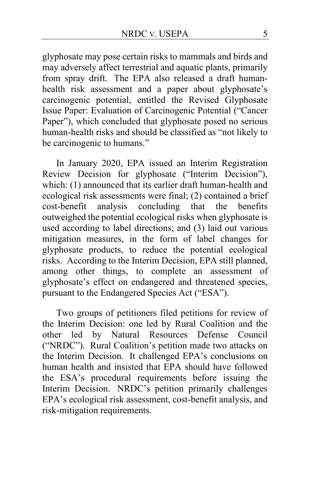glyphosate may pose certain risks to mammals and birds and may adversely affect terrestrial and aquatic plants, primarily from spray drift. The EPA also released a draft humanhealth risk assessment and a paper about glyphosate's carcinogenic potential, entitled the Revised Glyphosate Issue Paper: Evaluation of Carcinogenic Potential ("Cancer Paper"), which concluded that glyphosate posed no serious human-health risks and should be classified as "not likely to be carcinogenic to humans."

In January 2020, EPA issued an Interim Registration Review Decision for glyphosate ("Interim Decision"), which: (1) announced that its earlier draft human-health and ecological risk assessments were final; (2) contained a brief cost-benefit analysis concluding that the benefits outweighed the potential ecological risks when glyphosate is used according to label directions; and (3) laid out various mitigation measures, in the form of label changes for glyphosate products, to reduce the potential ecological risks. According to the Interim Decision, EPA still planned, among other things, to complete an assessment of glyphosate's effect on endangered and threatened species, pursuant to the Endangered Species Act ("ESA").

Two groups of petitioners filed petitions for review of the Interim Decision: one led by Rural Coalition and the other led by Natural Resources Defense Council ("NRDC"). Rural Coalition's petition made two attacks on the Interim Decision. It challenged EPA's conclusions on human health and insisted that EPA should have followed the ESA's procedural requirements before issuing the Interim Decision. NRDC's petition primarily challenges EPA's ecological risk assessment, cost-benefit analysis, and risk-mitigation requirements.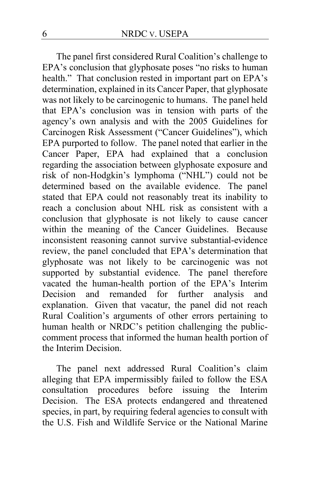The panel first considered Rural Coalition's challenge to EPA's conclusion that glyphosate poses "no risks to human health." That conclusion rested in important part on EPA's determination, explained in its Cancer Paper, that glyphosate was not likely to be carcinogenic to humans. The panel held that EPA's conclusion was in tension with parts of the agency's own analysis and with the 2005 Guidelines for Carcinogen Risk Assessment ("Cancer Guidelines"), which EPA purported to follow. The panel noted that earlier in the Cancer Paper, EPA had explained that a conclusion regarding the association between glyphosate exposure and risk of non-Hodgkin's lymphoma ("NHL") could not be determined based on the available evidence. The panel stated that EPA could not reasonably treat its inability to reach a conclusion about NHL risk as consistent with a conclusion that glyphosate is not likely to cause cancer within the meaning of the Cancer Guidelines. Because inconsistent reasoning cannot survive substantial-evidence review, the panel concluded that EPA's determination that glyphosate was not likely to be carcinogenic was not supported by substantial evidence. The panel therefore vacated the human-health portion of the EPA's Interim Decision and remanded for further analysis and explanation. Given that vacatur, the panel did not reach Rural Coalition's arguments of other errors pertaining to human health or NRDC's petition challenging the publiccomment process that informed the human health portion of the Interim Decision.

The panel next addressed Rural Coalition's claim alleging that EPA impermissibly failed to follow the ESA consultation procedures before issuing the Interim Decision. The ESA protects endangered and threatened species, in part, by requiring federal agencies to consult with the U.S. Fish and Wildlife Service or the National Marine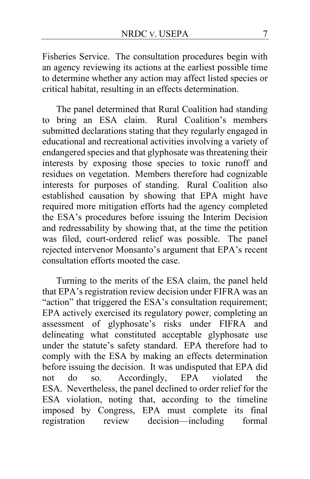Fisheries Service. The consultation procedures begin with an agency reviewing its actions at the earliest possible time to determine whether any action may affect listed species or critical habitat, resulting in an effects determination.

The panel determined that Rural Coalition had standing to bring an ESA claim. Rural Coalition's members submitted declarations stating that they regularly engaged in educational and recreational activities involving a variety of endangered species and that glyphosate was threatening their interests by exposing those species to toxic runoff and residues on vegetation. Members therefore had cognizable interests for purposes of standing. Rural Coalition also established causation by showing that EPA might have required more mitigation efforts had the agency completed the ESA's procedures before issuing the Interim Decision and redressability by showing that, at the time the petition was filed, court-ordered relief was possible. The panel rejected intervenor Monsanto's argument that EPA's recent consultation efforts mooted the case.

Turning to the merits of the ESA claim, the panel held that EPA's registration review decision under FIFRA was an "action" that triggered the ESA's consultation requirement; EPA actively exercised its regulatory power, completing an assessment of glyphosate's risks under FIFRA and delineating what constituted acceptable glyphosate use under the statute's safety standard. EPA therefore had to comply with the ESA by making an effects determination before issuing the decision. It was undisputed that EPA did<br>not do so. Accordingly, EPA violated the not do so. Accordingly, EPA violated the ESA. Nevertheless, the panel declined to order relief for the ESA violation, noting that, according to the timeline imposed by Congress, EPA must complete its final registration review decision—including formal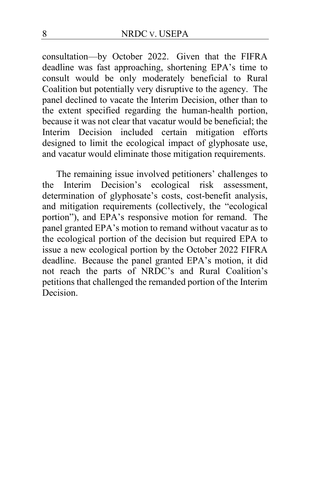consultation—by October 2022. Given that the FIFRA deadline was fast approaching, shortening EPA's time to consult would be only moderately beneficial to Rural Coalition but potentially very disruptive to the agency. The panel declined to vacate the Interim Decision, other than to the extent specified regarding the human-health portion, because it was not clear that vacatur would be beneficial; the Interim Decision included certain mitigation efforts designed to limit the ecological impact of glyphosate use, and vacatur would eliminate those mitigation requirements.

The remaining issue involved petitioners' challenges to the Interim Decision's ecological risk assessment, determination of glyphosate's costs, cost-benefit analysis, and mitigation requirements (collectively, the "ecological portion"), and EPA's responsive motion for remand. The panel granted EPA's motion to remand without vacatur as to the ecological portion of the decision but required EPA to issue a new ecological portion by the October 2022 FIFRA deadline. Because the panel granted EPA's motion, it did not reach the parts of NRDC's and Rural Coalition's petitions that challenged the remanded portion of the Interim Decision.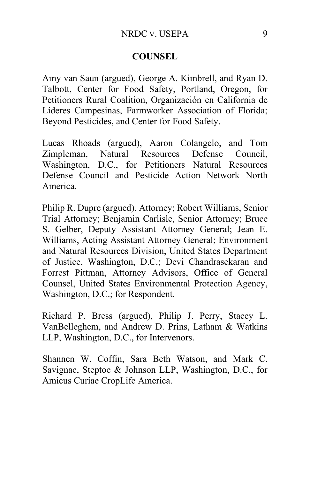# **COUNSEL**

Amy van Saun (argued), George A. Kimbrell, and Ryan D. Talbott, Center for Food Safety, Portland, Oregon, for Petitioners Rural Coalition, Organización en California de Líderes Campesinas, Farmworker Association of Florida; Beyond Pesticides, and Center for Food Safety.

Lucas Rhoads (argued), Aaron Colangelo, and Tom Zimpleman, Natural Resources Defense Council, Washington, D.C., for Petitioners Natural Resources Defense Council and Pesticide Action Network North America.

Philip R. Dupre (argued), Attorney; Robert Williams, Senior Trial Attorney; Benjamin Carlisle, Senior Attorney; Bruce S. Gelber, Deputy Assistant Attorney General; Jean E. Williams, Acting Assistant Attorney General; Environment and Natural Resources Division, United States Department of Justice, Washington, D.C.; Devi Chandrasekaran and Forrest Pittman, Attorney Advisors, Office of General Counsel, United States Environmental Protection Agency, Washington, D.C.; for Respondent.

Richard P. Bress (argued), Philip J. Perry, Stacey L. VanBelleghem, and Andrew D. Prins, Latham & Watkins LLP, Washington, D.C., for Intervenors.

Shannen W. Coffin, Sara Beth Watson, and Mark C. Savignac, Steptoe & Johnson LLP, Washington, D.C., for Amicus Curiae CropLife America.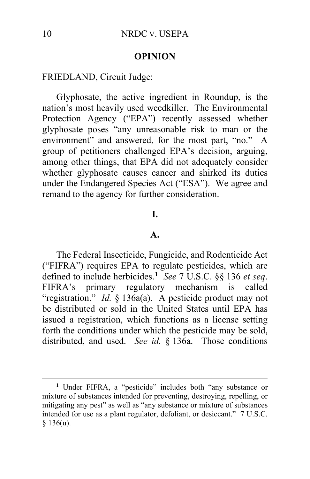#### **OPINION**

FRIEDLAND, Circuit Judge:

Glyphosate, the active ingredient in Roundup, is the nation's most heavily used weedkiller. The Environmental Protection Agency ("EPA") recently assessed whether glyphosate poses "any unreasonable risk to man or the environment" and answered, for the most part, "no." A group of petitioners challenged EPA's decision, arguing, among other things, that EPA did not adequately consider whether glyphosate causes cancer and shirked its duties under the Endangered Species Act ("ESA"). We agree and remand to the agency for further consideration.

#### **I.**

## **A.**

The Federal Insecticide, Fungicide, and Rodenticide Act ("FIFRA") requires EPA to regulate pesticides, which are defined to include herbicides.**[1](#page-9-0)** *See* 7 U.S.C. §§ 136 *et seq*. FIFRA's primary regulatory mechanism is called "registration." *Id.* § 136a(a). A pesticide product may not be distributed or sold in the United States until EPA has issued a registration, which functions as a license setting forth the conditions under which the pesticide may be sold, distributed, and used. *See id.* § 136a. Those conditions

<span id="page-9-0"></span>**<sup>1</sup>** Under FIFRA, a "pesticide" includes both "any substance or mixture of substances intended for preventing, destroying, repelling, or mitigating any pest" as well as "any substance or mixture of substances intended for use as a plant regulator, defoliant, or desiccant." 7 U.S.C. § 136(u).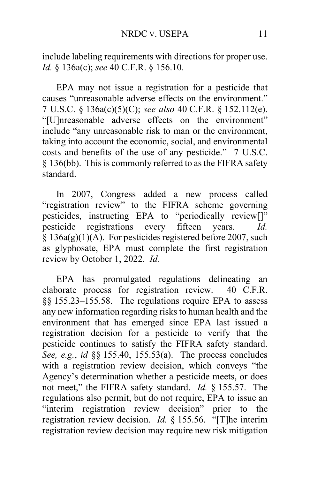include labeling requirements with directions for proper use. *Id.* § 136a(c); *see* 40 C.F.R. § 156.10.

EPA may not issue a registration for a pesticide that causes "unreasonable adverse effects on the environment." 7 U.S.C. § 136a(c)(5)(C); *see also* 40 C.F.R. § 152.112(e). "[U]nreasonable adverse effects on the environment" include "any unreasonable risk to man or the environment, taking into account the economic, social, and environmental costs and benefits of the use of any pesticide." 7 U.S.C. § 136(bb). This is commonly referred to as the FIFRA safety standard.

In 2007, Congress added a new process called "registration review" to the FIFRA scheme governing pesticides, instructing EPA to "periodically review[]" pesticide registrations every fifteen years. *Id.*  $§ 136a(g)(1)(A)$ . For pesticides registered before 2007, such as glyphosate, EPA must complete the first registration review by October 1, 2022. *Id.*

EPA has promulgated regulations delineating an elaborate process for registration review. 40 C.F.R. §§ 155.23–155.58. The regulations require EPA to assess any new information regarding risks to human health and the environment that has emerged since EPA last issued a registration decision for a pesticide to verify that the pesticide continues to satisfy the FIFRA safety standard. *See, e.g.*, *id* §§ 155.40, 155.53(a). The process concludes with a registration review decision, which conveys "the Agency's determination whether a pesticide meets, or does not meet," the FIFRA safety standard. *Id.* § 155.57. The regulations also permit, but do not require, EPA to issue an "interim registration review decision" prior to the registration review decision. *Id.* § 155.56. "[T]he interim registration review decision may require new risk mitigation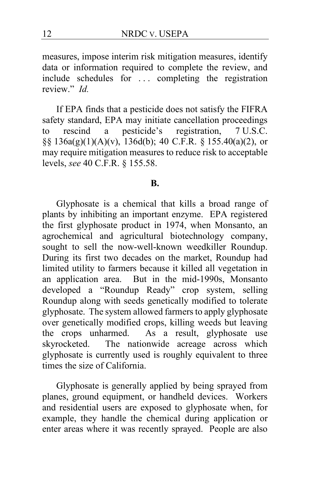measures, impose interim risk mitigation measures, identify data or information required to complete the review, and include schedules for ... completing the registration review." *Id.*

If EPA finds that a pesticide does not satisfy the FIFRA safety standard, EPA may initiate cancellation proceedings<br>to rescind a pesticide's registration, 7 U.S.C. to rescind a pesticide's registration, 7 U.S.C. §§ 136a(g)(1)(A)(v), 136d(b); 40 C.F.R. § 155.40(a)(2), or may require mitigation measures to reduce risk to acceptable levels, *see* 40 C.F.R. § 155.58.

#### **B.**

Glyphosate is a chemical that kills a broad range of plants by inhibiting an important enzyme. EPA registered the first glyphosate product in 1974, when Monsanto, an agrochemical and agricultural biotechnology company, sought to sell the now-well-known weedkiller Roundup. During its first two decades on the market, Roundup had limited utility to farmers because it killed all vegetation in an application area. But in the mid-1990s, Monsanto developed a "Roundup Ready" crop system, selling Roundup along with seeds genetically modified to tolerate glyphosate. The system allowed farmers to apply glyphosate over genetically modified crops, killing weeds but leaving the crops unharmed. As a result, glyphosate use skyrocketed. The nationwide acreage across which glyphosate is currently used is roughly equivalent to three times the size of California.

Glyphosate is generally applied by being sprayed from planes, ground equipment, or handheld devices. Workers and residential users are exposed to glyphosate when, for example, they handle the chemical during application or enter areas where it was recently sprayed. People are also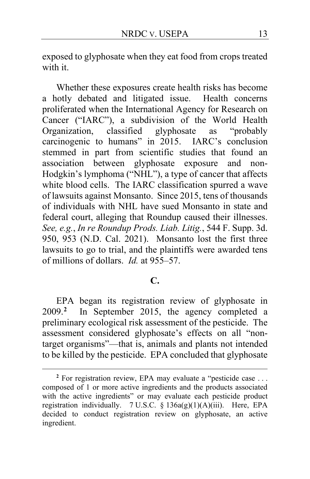exposed to glyphosate when they eat food from crops treated with it.

Whether these exposures create health risks has become a hotly debated and litigated issue. Health concerns proliferated when the International Agency for Research on Cancer ("IARC"), a subdivision of the World Health Organization, classified glyphosate as "probably carcinogenic to humans" in 2015. IARC's conclusion stemmed in part from scientific studies that found an association between glyphosate exposure and non-Hodgkin's lymphoma ("NHL"), a type of cancer that affects white blood cells. The IARC classification spurred a wave of lawsuits against Monsanto. Since 2015, tens of thousands of individuals with NHL have sued Monsanto in state and federal court, alleging that Roundup caused their illnesses. *See, e.g.*, *In re Roundup Prods. Liab. Litig.*, 544 F. Supp. 3d. 950, 953 (N.D. Cal. 2021). Monsanto lost the first three lawsuits to go to trial, and the plaintiffs were awarded tens of millions of dollars. *Id.* at 955–57.

# **C.**

EPA began its registration review of glyphosate in 2009.**[2](#page-12-0)** In September 2015, the agency completed a preliminary ecological risk assessment of the pesticide. The assessment considered glyphosate's effects on all "nontarget organisms"—that is, animals and plants not intended to be killed by the pesticide. EPA concluded that glyphosate

<span id="page-12-0"></span>**<sup>2</sup>** For registration review, EPA may evaluate a "pesticide case . . . composed of 1 or more active ingredients and the products associated with the active ingredients" or may evaluate each pesticide product registration individually. 7 U.S.C. § 136a(g)(1)(A)(iii). Here, EPA decided to conduct registration review on glyphosate, an active ingredient.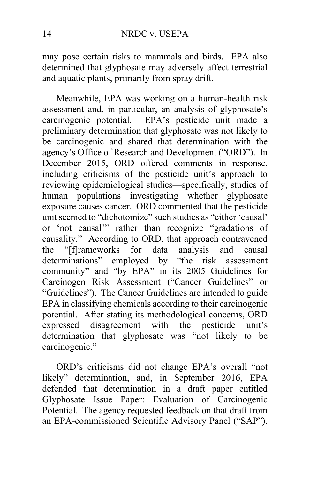may pose certain risks to mammals and birds. EPA also determined that glyphosate may adversely affect terrestrial and aquatic plants, primarily from spray drift.

Meanwhile, EPA was working on a human-health risk assessment and, in particular, an analysis of glyphosate's carcinogenic potential. EPA's pesticide unit made a preliminary determination that glyphosate was not likely to be carcinogenic and shared that determination with the agency's Office of Research and Development ("ORD"). In December 2015, ORD offered comments in response, including criticisms of the pesticide unit's approach to reviewing epidemiological studies—specifically, studies of human populations investigating whether glyphosate exposure causes cancer. ORD commented that the pesticide unit seemed to "dichotomize" such studies as "either 'causal' or 'not causal'" rather than recognize "gradations of causality." According to ORD, that approach contravened the "[f]rameworks for data analysis and causal determinations" employed by "the risk assessment community" and "by EPA" in its 2005 Guidelines for Carcinogen Risk Assessment ("Cancer Guidelines" or "Guidelines"). The Cancer Guidelines are intended to guide EPA in classifying chemicals according to their carcinogenic potential. After stating its methodological concerns, ORD expressed disagreement with the pesticide unit's determination that glyphosate was "not likely to be carcinogenic."

ORD's criticisms did not change EPA's overall "not likely" determination, and, in September 2016, EPA defended that determination in a draft paper entitled Glyphosate Issue Paper: Evaluation of Carcinogenic Potential. The agency requested feedback on that draft from an EPA-commissioned Scientific Advisory Panel ("SAP").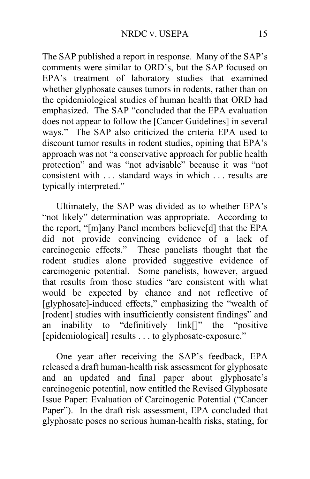The SAP published a report in response. Many of the SAP's comments were similar to ORD's, but the SAP focused on EPA's treatment of laboratory studies that examined whether glyphosate causes tumors in rodents, rather than on the epidemiological studies of human health that ORD had emphasized. The SAP "concluded that the EPA evaluation does not appear to follow the [Cancer Guidelines] in several ways." The SAP also criticized the criteria EPA used to discount tumor results in rodent studies, opining that EPA's approach was not "a conservative approach for public health protection" and was "not advisable" because it was "not consistent with . . . standard ways in which . . . results are typically interpreted."

Ultimately, the SAP was divided as to whether EPA's "not likely" determination was appropriate. According to the report, "[m]any Panel members believe[d] that the EPA did not provide convincing evidence of a lack of carcinogenic effects." These panelists thought that the rodent studies alone provided suggestive evidence of carcinogenic potential. Some panelists, however, argued that results from those studies "are consistent with what would be expected by chance and not reflective of [glyphosate]-induced effects," emphasizing the "wealth of [rodent] studies with insufficiently consistent findings" and an inability to "definitively link[]" the "positive [epidemiological] results . . . to glyphosate-exposure."

One year after receiving the SAP's feedback, EPA released a draft human-health risk assessment for glyphosate and an updated and final paper about glyphosate's carcinogenic potential, now entitled the Revised Glyphosate Issue Paper: Evaluation of Carcinogenic Potential ("Cancer Paper"). In the draft risk assessment, EPA concluded that glyphosate poses no serious human-health risks, stating, for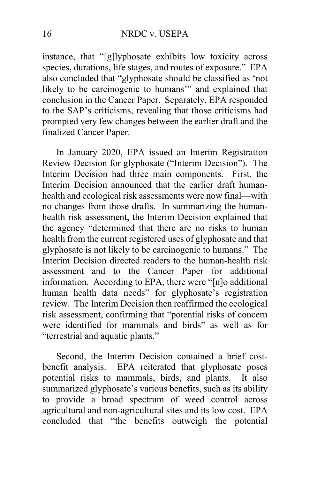instance, that "[g]lyphosate exhibits low toxicity across species, durations, life stages, and routes of exposure." EPA also concluded that "glyphosate should be classified as 'not likely to be carcinogenic to humans'" and explained that conclusion in the Cancer Paper. Separately, EPA responded to the SAP's criticisms, revealing that those criticisms had prompted very few changes between the earlier draft and the finalized Cancer Paper.

In January 2020, EPA issued an Interim Registration Review Decision for glyphosate ("Interim Decision"). The Interim Decision had three main components. First, the Interim Decision announced that the earlier draft humanhealth and ecological risk assessments were now final—with no changes from those drafts. In summarizing the humanhealth risk assessment, the Interim Decision explained that the agency "determined that there are no risks to human health from the current registered uses of glyphosate and that glyphosate is not likely to be carcinogenic to humans."The Interim Decision directed readers to the human-health risk assessment and to the Cancer Paper for additional information.According to EPA, there were "[n]o additional human health data needs" for glyphosate's registration review. The Interim Decision then reaffirmed the ecological risk assessment, confirming that "potential risks of concern were identified for mammals and birds" as well as for "terrestrial and aquatic plants."

Second, the Interim Decision contained a brief costbenefit analysis. EPA reiterated that glyphosate poses potential risks to mammals, birds, and plants. It also summarized glyphosate's various benefits, such as its ability to provide a broad spectrum of weed control across agricultural and non-agricultural sites and its low cost. EPA concluded that "the benefits outweigh the potential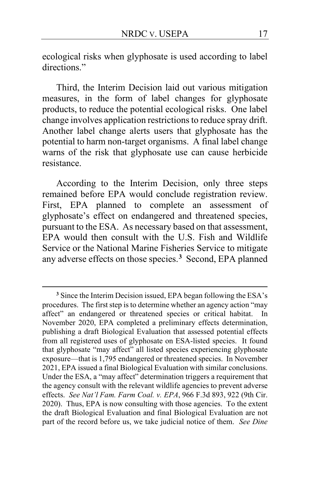ecological risks when glyphosate is used according to label directions."

Third, the Interim Decision laid out various mitigation measures, in the form of label changes for glyphosate products, to reduce the potential ecological risks. One label change involves application restrictions to reduce spray drift. Another label change alerts users that glyphosate has the potential to harm non-target organisms. A final label change warns of the risk that glyphosate use can cause herbicide resistance.

According to the Interim Decision, only three steps remained before EPA would conclude registration review. First, EPA planned to complete an assessment of glyphosate's effect on endangered and threatened species, pursuant to the ESA. As necessary based on that assessment, EPA would then consult with the U.S. Fish and Wildlife Service or the National Marine Fisheries Service to mitigate any adverse effects on those species.**[3](#page-16-0)** Second, EPA planned

<span id="page-16-0"></span>**<sup>3</sup>** Since the Interim Decision issued, EPA began following the ESA's procedures. The first step is to determine whether an agency action "may affect" an endangered or threatened species or critical habitat. In November 2020, EPA completed a preliminary effects determination, publishing a draft Biological Evaluation that assessed potential effects from all registered uses of glyphosate on ESA-listed species. It found that glyphosate "may affect" all listed species experiencing glyphosate exposure—that is 1,795 endangered or threatened species. In November 2021, EPA issued a final Biological Evaluation with similar conclusions. Under the ESA, a "may affect" determination triggers a requirement that the agency consult with the relevant wildlife agencies to prevent adverse effects. *See Nat'l Fam. Farm Coal. v. EPA*, 966 F.3d 893, 922 (9th Cir. 2020). Thus, EPA is now consulting with those agencies. To the extent the draft Biological Evaluation and final Biological Evaluation are not part of the record before us, we take judicial notice of them. *See Dine*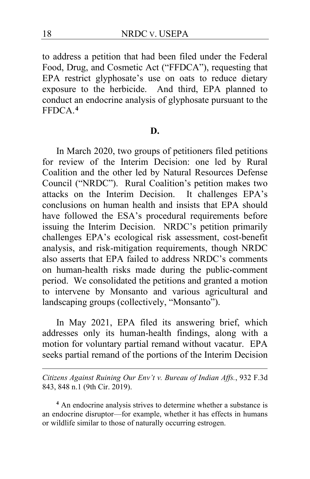to address a petition that had been filed under the Federal Food, Drug, and Cosmetic Act ("FFDCA"), requesting that EPA restrict glyphosate's use on oats to reduce dietary exposure to the herbicide. And third, EPA planned to conduct an endocrine analysis of glyphosate pursuant to the FFDCA.**[4](#page-17-0)**

#### **D.**

In March 2020, two groups of petitioners filed petitions for review of the Interim Decision: one led by Rural Coalition and the other led by Natural Resources Defense Council ("NRDC"). Rural Coalition's petition makes two attacks on the Interim Decision. It challenges EPA's conclusions on human health and insists that EPA should have followed the ESA's procedural requirements before issuing the Interim Decision. NRDC's petition primarily challenges EPA's ecological risk assessment, cost-benefit analysis, and risk-mitigation requirements, though NRDC also asserts that EPA failed to address NRDC's comments on human-health risks made during the public-comment period. We consolidated the petitions and granted a motion to intervene by Monsanto and various agricultural and landscaping groups (collectively, "Monsanto").

In May 2021, EPA filed its answering brief, which addresses only its human-health findings, along with a motion for voluntary partial remand without vacatur. EPA seeks partial remand of the portions of the Interim Decision

*Citizens Against Ruining Our Env't v. Bureau of Indian Affs.*, 932 F.3d 843, 848 n.1 (9th Cir. 2019).

<span id="page-17-0"></span>**<sup>4</sup>** An endocrine analysis strives to determine whether a substance is an endocrine disruptor—for example, whether it has effects in humans or wildlife similar to those of naturally occurring estrogen.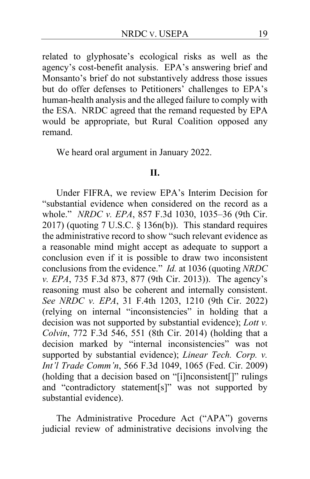related to glyphosate's ecological risks as well as the agency's cost-benefit analysis. EPA's answering brief and Monsanto's brief do not substantively address those issues but do offer defenses to Petitioners' challenges to EPA's human-health analysis and the alleged failure to comply with the ESA. NRDC agreed that the remand requested by EPA would be appropriate, but Rural Coalition opposed any remand.

We heard oral argument in January 2022.

#### **II.**

Under FIFRA, we review EPA's Interim Decision for "substantial evidence when considered on the record as a whole." *NRDC v. EPA*, 857 F.3d 1030, 1035–36 (9th Cir. 2017) (quoting 7 U.S.C. § 136n(b)). This standard requires the administrative record to show "such relevant evidence as a reasonable mind might accept as adequate to support a conclusion even if it is possible to draw two inconsistent conclusions from the evidence." *Id.* at 1036 (quoting *NRDC v. EPA*, 735 F.3d 873, 877 (9th Cir. 2013)). The agency's reasoning must also be coherent and internally consistent. *See NRDC v. EPA*, 31 F.4th 1203, 1210 (9th Cir. 2022) (relying on internal "inconsistencies" in holding that a decision was not supported by substantial evidence); *Lott v. Colvin*, 772 F.3d 546, 551 (8th Cir. 2014) (holding that a decision marked by "internal inconsistencies" was not supported by substantial evidence); *Linear Tech. Corp. v. Int'l Trade Comm'n*, 566 F.3d 1049, 1065 (Fed. Cir. 2009) (holding that a decision based on "[i]nconsistent[]" rulings and "contradictory statement[s]" was not supported by substantial evidence).

The Administrative Procedure Act ("APA") governs judicial review of administrative decisions involving the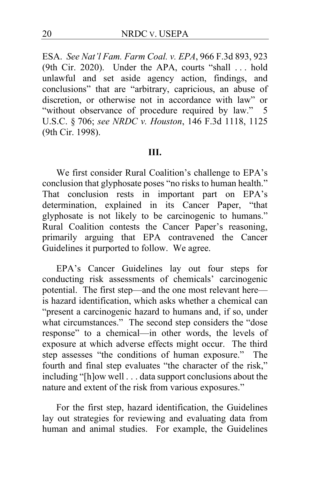ESA. *See Nat'l Fam. Farm Coal. v. EPA*, 966 F.3d 893, 923 (9th Cir. 2020). Under the APA, courts "shall . . . hold unlawful and set aside agency action, findings, and conclusions" that are "arbitrary, capricious, an abuse of discretion, or otherwise not in accordance with law" or "without observance of procedure required by law." 5 U.S.C. § 706; *see NRDC v. Houston*, 146 F.3d 1118, 1125 (9th Cir. 1998).

#### **III.**

We first consider Rural Coalition's challenge to EPA's conclusion that glyphosate poses "no risks to human health." That conclusion rests in important part on EPA's determination, explained in its Cancer Paper, "that glyphosate is not likely to be carcinogenic to humans." Rural Coalition contests the Cancer Paper's reasoning, primarily arguing that EPA contravened the Cancer Guidelines it purported to follow.We agree.

EPA's Cancer Guidelines lay out four steps for conducting risk assessments of chemicals' carcinogenic potential. The first step—and the one most relevant here is hazard identification, which asks whether a chemical can "present a carcinogenic hazard to humans and, if so, under what circumstances." The second step considers the "dose" response" to a chemical—in other words, the levels of exposure at which adverse effects might occur. The third step assesses "the conditions of human exposure." The fourth and final step evaluates "the character of the risk," including "[h]ow well . . . data support conclusions about the nature and extent of the risk from various exposures."

For the first step, hazard identification, the Guidelines lay out strategies for reviewing and evaluating data from human and animal studies. For example, the Guidelines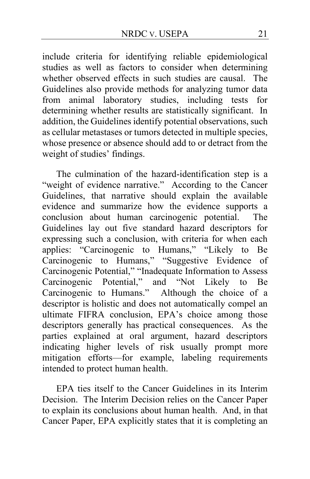include criteria for identifying reliable epidemiological studies as well as factors to consider when determining whether observed effects in such studies are causal. The Guidelines also provide methods for analyzing tumor data from animal laboratory studies, including tests for determining whether results are statistically significant. In addition, the Guidelines identify potential observations, such as cellular metastases or tumors detected in multiple species, whose presence or absence should add to or detract from the weight of studies' findings.

The culmination of the hazard-identification step is a "weight of evidence narrative." According to the Cancer Guidelines, that narrative should explain the available evidence and summarize how the evidence supports a conclusion about human carcinogenic potential. The Guidelines lay out five standard hazard descriptors for expressing such a conclusion, with criteria for when each applies: "Carcinogenic to Humans," "Likely to Be Carcinogenic to Humans," "Suggestive Evidence of Carcinogenic Potential," "Inadequate Information to Assess Carcinogenic Potential," and "Not Likely to Be Carcinogenic to Humans." Although the choice of a descriptor is holistic and does not automatically compel an ultimate FIFRA conclusion, EPA's choice among those descriptors generally has practical consequences. As the parties explained at oral argument, hazard descriptors indicating higher levels of risk usually prompt more mitigation efforts—for example, labeling requirements intended to protect human health.

EPA ties itself to the Cancer Guidelines in its Interim Decision. The Interim Decision relies on the Cancer Paper to explain its conclusions about human health. And, in that Cancer Paper, EPA explicitly states that it is completing an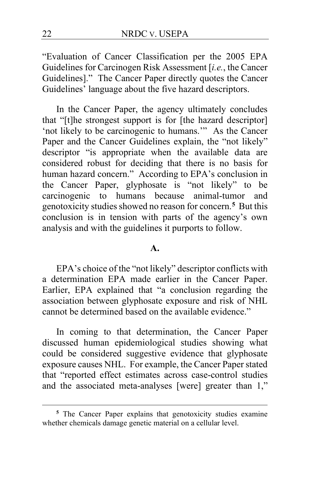"Evaluation of Cancer Classification per the 2005 EPA Guidelines for Carcinogen Risk Assessment [*i.e.*, the Cancer Guidelines]." The Cancer Paper directly quotes the Cancer Guidelines' language about the five hazard descriptors.

In the Cancer Paper, the agency ultimately concludes that "[t]he strongest support is for [the hazard descriptor] 'not likely to be carcinogenic to humans.'" As the Cancer Paper and the Cancer Guidelines explain, the "not likely" descriptor "is appropriate when the available data are considered robust for deciding that there is no basis for human hazard concern." According to EPA's conclusion in the Cancer Paper, glyphosate is "not likely" to be carcinogenic to humans because animal-tumor and genotoxicity studies showed no reason for concern.**[5](#page-21-0)** But this conclusion is in tension with parts of the agency's own analysis and with the guidelines it purports to follow.

### **A.**

EPA's choice of the "not likely" descriptor conflicts with a determination EPA made earlier in the Cancer Paper. Earlier, EPA explained that "a conclusion regarding the association between glyphosate exposure and risk of NHL cannot be determined based on the available evidence."

In coming to that determination, the Cancer Paper discussed human epidemiological studies showing what could be considered suggestive evidence that glyphosate exposure causes NHL. For example, the Cancer Paper stated that "reported effect estimates across case-control studies and the associated meta-analyses [were] greater than 1,"

<span id="page-21-0"></span>**<sup>5</sup>** The Cancer Paper explains that genotoxicity studies examine whether chemicals damage genetic material on a cellular level.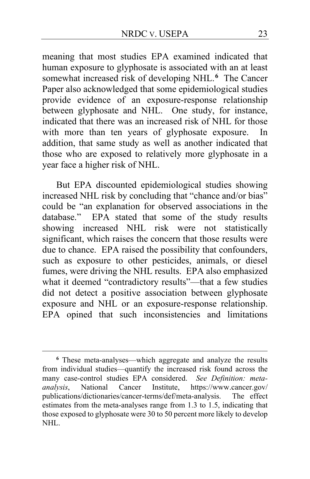meaning that most studies EPA examined indicated that human exposure to glyphosate is associated with an at least somewhat increased risk of developing NHL.**[6](#page-22-0)** The Cancer Paper also acknowledged that some epidemiological studies provide evidence of an exposure-response relationship between glyphosate and NHL. One study, for instance, indicated that there was an increased risk of NHL for those with more than ten years of glyphosate exposure. In addition, that same study as well as another indicated that those who are exposed to relatively more glyphosate in a year face a higher risk of NHL.

But EPA discounted epidemiological studies showing increased NHL risk by concluding that "chance and/or bias" could be "an explanation for observed associations in the database." EPA stated that some of the study results showing increased NHL risk were not statistically significant, which raises the concern that those results were due to chance. EPA raised the possibility that confounders, such as exposure to other pesticides, animals, or diesel fumes, were driving the NHL results. EPA also emphasized what it deemed "contradictory results"—that a few studies did not detect a positive association between glyphosate exposure and NHL or an exposure-response relationship. EPA opined that such inconsistencies and limitations

<span id="page-22-0"></span>**<sup>6</sup>** These meta-analyses—which aggregate and analyze the results from individual studies—quantify the increased risk found across the many case-control studies EPA considered. *See Definition: metaanalysis*, National Cancer Institute, https://www.cancer.gov/ publications/dictionaries/cancer-terms/def/meta-analysis. The effect estimates from the meta-analyses range from 1.3 to 1.5, indicating that those exposed to glyphosate were 30 to 50 percent more likely to develop NHL.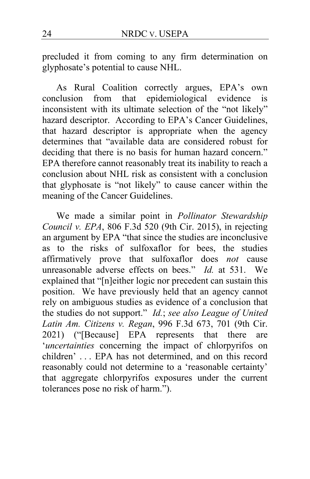precluded it from coming to any firm determination on glyphosate's potential to cause NHL.

As Rural Coalition correctly argues, EPA's own conclusion from that epidemiological evidence is inconsistent with its ultimate selection of the "not likely" hazard descriptor. According to EPA's Cancer Guidelines, that hazard descriptor is appropriate when the agency determines that "available data are considered robust for deciding that there is no basis for human hazard concern." EPA therefore cannot reasonably treat its inability to reach a conclusion about NHL risk as consistent with a conclusion that glyphosate is "not likely" to cause cancer within the meaning of the Cancer Guidelines.

We made a similar point in *Pollinator Stewardship Council v. EPA*, 806 F.3d 520 (9th Cir. 2015), in rejecting an argument by EPA "that since the studies are inconclusive as to the risks of sulfoxaflor for bees, the studies affirmatively prove that sulfoxaflor does *not* cause unreasonable adverse effects on bees." *Id.* at 531. We explained that "[n]either logic nor precedent can sustain this position. We have previously held that an agency cannot rely on ambiguous studies as evidence of a conclusion that the studies do not support." *Id.*; *see also League of United Latin Am. Citizens v. Regan*, 996 F.3d 673, 701 (9th Cir. 2021) ("[Because] EPA represents that there are '*uncertainties* concerning the impact of chlorpyrifos on children' . . . EPA has not determined, and on this record reasonably could not determine to a 'reasonable certainty' that aggregate chlorpyrifos exposures under the current tolerances pose no risk of harm.").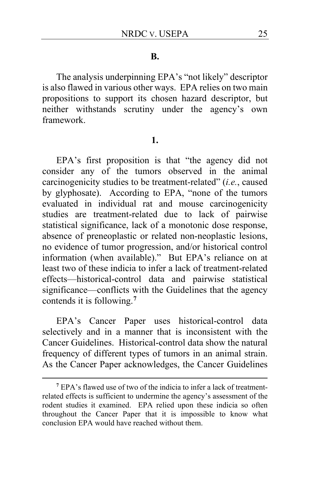#### **B.**

The analysis underpinning EPA's "not likely" descriptor is also flawed in various other ways. EPA relies on two main propositions to support its chosen hazard descriptor, but neither withstands scrutiny under the agency's own framework.

#### **1.**

EPA's first proposition is that "the agency did not consider any of the tumors observed in the animal carcinogenicity studies to be treatment-related" (*i.e.*, caused by glyphosate). According to EPA, "none of the tumors evaluated in individual rat and mouse carcinogenicity studies are treatment-related due to lack of pairwise statistical significance, lack of a monotonic dose response, absence of preneoplastic or related non-neoplastic lesions, no evidence of tumor progression, and/or historical control information (when available)." But EPA's reliance on at least two of these indicia to infer a lack of treatment-related effects—historical-control data and pairwise statistical significance—conflicts with the Guidelines that the agency contends it is following.**[7](#page-24-0)**

EPA's Cancer Paper uses historical-control data selectively and in a manner that is inconsistent with the Cancer Guidelines. Historical-control data show the natural frequency of different types of tumors in an animal strain. As the Cancer Paper acknowledges, the Cancer Guidelines

<span id="page-24-0"></span>**<sup>7</sup>** EPA's flawed use of two of the indicia to infer a lack of treatmentrelated effects is sufficient to undermine the agency's assessment of the rodent studies it examined. EPA relied upon these indicia so often throughout the Cancer Paper that it is impossible to know what conclusion EPA would have reached without them.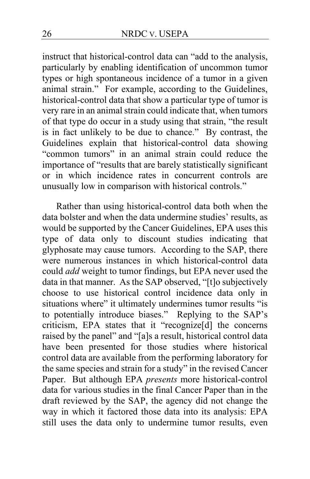instruct that historical-control data can "add to the analysis, particularly by enabling identification of uncommon tumor types or high spontaneous incidence of a tumor in a given animal strain." For example, according to the Guidelines, historical-control data that show a particular type of tumor is very rare in an animal strain could indicate that, when tumors of that type do occur in a study using that strain, "the result is in fact unlikely to be due to chance." By contrast, the Guidelines explain that historical-control data showing "common tumors" in an animal strain could reduce the importance of "results that are barely statistically significant or in which incidence rates in concurrent controls are unusually low in comparison with historical controls."

Rather than using historical-control data both when the data bolster and when the data undermine studies' results, as would be supported by the Cancer Guidelines, EPA uses this type of data only to discount studies indicating that glyphosate may cause tumors. According to the SAP, there were numerous instances in which historical-control data could *add* weight to tumor findings, but EPA never used the data in that manner. As the SAP observed, "[t]o subjectively choose to use historical control incidence data only in situations where" it ultimately undermines tumor results "is to potentially introduce biases." Replying to the SAP's criticism, EPA states that it "recognize[d] the concerns raised by the panel" and "[a]s a result, historical control data have been presented for those studies where historical control data are available from the performing laboratory for the same species and strain for a study" in the revised Cancer Paper. But although EPA *presents* more historical-control data for various studies in the final Cancer Paper than in the draft reviewed by the SAP, the agency did not change the way in which it factored those data into its analysis: EPA still uses the data only to undermine tumor results, even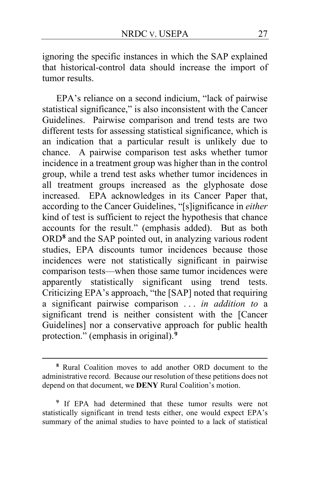ignoring the specific instances in which the SAP explained that historical-control data should increase the import of tumor results.

EPA's reliance on a second indicium, "lack of pairwise statistical significance," is also inconsistent with the Cancer Guidelines. Pairwise comparison and trend tests are two different tests for assessing statistical significance, which is an indication that a particular result is unlikely due to chance. A pairwise comparison test asks whether tumor incidence in a treatment group was higher than in the control group, while a trend test asks whether tumor incidences in all treatment groups increased as the glyphosate dose increased. EPA acknowledges in its Cancer Paper that, according to the Cancer Guidelines, "[s]ignificance in *either* kind of test is sufficient to reject the hypothesis that chance accounts for the result." (emphasis added).But as both ORD**[8](#page-26-0)** and the SAP pointed out, in analyzing various rodent studies, EPA discounts tumor incidences because those incidences were not statistically significant in pairwise comparison tests—when those same tumor incidences were apparently statistically significant using trend tests. Criticizing EPA's approach, "the [SAP] noted that requiring a significant pairwise comparison . . . *in addition to* a significant trend is neither consistent with the [Cancer Guidelines] nor a conservative approach for public health protection." (emphasis in original).**[9](#page-26-1)**

<span id="page-26-0"></span>**<sup>8</sup>** Rural Coalition moves to add another ORD document to the administrative record. Because our resolution of these petitions does not depend on that document, we **DENY** Rural Coalition's motion.

<span id="page-26-1"></span>**<sup>9</sup>** If EPA had determined that these tumor results were not statistically significant in trend tests either, one would expect EPA's summary of the animal studies to have pointed to a lack of statistical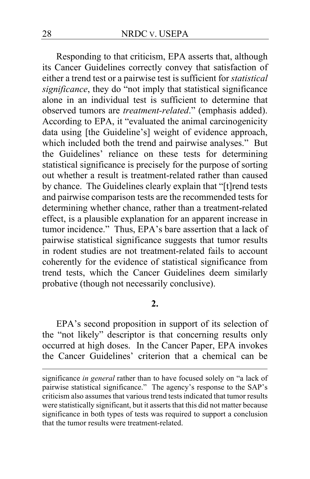Responding to that criticism, EPA asserts that, although its Cancer Guidelines correctly convey that satisfaction of either a trend test or a pairwise test is sufficient for *statistical significance*, they do "not imply that statistical significance alone in an individual test is sufficient to determine that observed tumors are *treatment-related*." (emphasis added). According to EPA, it "evaluated the animal carcinogenicity data using [the Guideline's] weight of evidence approach, which included both the trend and pairwise analyses." But the Guidelines' reliance on these tests for determining statistical significance is precisely for the purpose of sorting out whether a result is treatment-related rather than caused by chance. The Guidelines clearly explain that "[t]rend tests and pairwise comparison tests are the recommended tests for determining whether chance, rather than a treatment-related effect, is a plausible explanation for an apparent increase in tumor incidence." Thus, EPA's bare assertion that a lack of pairwise statistical significance suggests that tumor results in rodent studies are not treatment-related fails to account coherently for the evidence of statistical significance from trend tests, which the Cancer Guidelines deem similarly probative (though not necessarily conclusive).

### **2.**

EPA's second proposition in support of its selection of the "not likely" descriptor is that concerning results only occurred at high doses. In the Cancer Paper, EPA invokes the Cancer Guidelines' criterion that a chemical can be

significance *in general* rather than to have focused solely on "a lack of pairwise statistical significance." The agency's response to the SAP's criticism also assumes that various trend tests indicated that tumor results were statistically significant, but it asserts that this did not matter because significance in both types of tests was required to support a conclusion that the tumor results were treatment-related.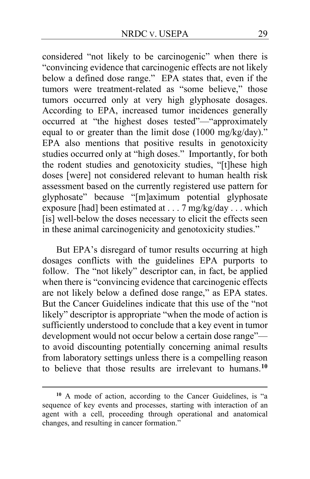considered "not likely to be carcinogenic" when there is "convincing evidence that carcinogenic effects are not likely below a defined dose range." EPA states that, even if the tumors were treatment-related as "some believe," those tumors occurred only at very high glyphosate dosages. According to EPA, increased tumor incidences generally occurred at "the highest doses tested"—"approximately equal to or greater than the limit dose (1000 mg/kg/day)." EPA also mentions that positive results in genotoxicity studies occurred only at "high doses." Importantly, for both the rodent studies and genotoxicity studies, "[t]hese high doses [were] not considered relevant to human health risk assessment based on the currently registered use pattern for glyphosate" because "[m]aximum potential glyphosate exposure [had] been estimated at  $\ldots$  7 mg/kg/day  $\ldots$  which [is] well-below the doses necessary to elicit the effects seen in these animal carcinogenicity and genotoxicity studies."

But EPA's disregard of tumor results occurring at high dosages conflicts with the guidelines EPA purports to follow. The "not likely" descriptor can, in fact, be applied when there is "convincing evidence that carcinogenic effects are not likely below a defined dose range," as EPA states. But the Cancer Guidelines indicate that this use of the "not likely" descriptor is appropriate "when the mode of action is sufficiently understood to conclude that a key event in tumor development would not occur below a certain dose range" to avoid discounting potentially concerning animal results from laboratory settings unless there is a compelling reason to believe that those results are irrelevant to humans.**[10](#page-28-0)**

<span id="page-28-0"></span>**<sup>10</sup>** A mode of action, according to the Cancer Guidelines, is "a sequence of key events and processes, starting with interaction of an agent with a cell, proceeding through operational and anatomical changes, and resulting in cancer formation."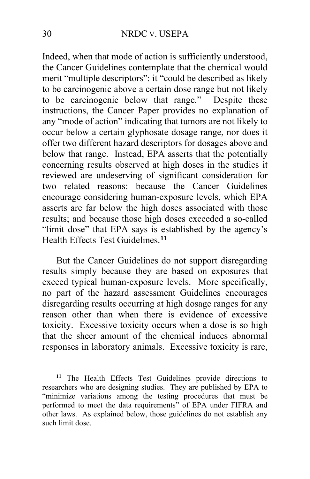Indeed, when that mode of action is sufficiently understood, the Cancer Guidelines contemplate that the chemical would merit "multiple descriptors": it "could be described as likely to be carcinogenic above a certain dose range but not likely to be carcinogenic below that range." Despite these instructions, the Cancer Paper provides no explanation of any "mode of action" indicating that tumors are not likely to occur below a certain glyphosate dosage range, nor does it offer two different hazard descriptors for dosages above and below that range. Instead, EPA asserts that the potentially concerning results observed at high doses in the studies it reviewed are undeserving of significant consideration for two related reasons: because the Cancer Guidelines encourage considering human-exposure levels, which EPA asserts are far below the high doses associated with those results; and because those high doses exceeded a so-called "limit dose" that EPA says is established by the agency's Health Effects Test Guidelines.**[11](#page-29-0)**

But the Cancer Guidelines do not support disregarding results simply because they are based on exposures that exceed typical human-exposure levels. More specifically, no part of the hazard assessment Guidelines encourages disregarding results occurring at high dosage ranges for any reason other than when there is evidence of excessive toxicity. Excessive toxicity occurs when a dose is so high that the sheer amount of the chemical induces abnormal responses in laboratory animals. Excessive toxicity is rare,

<span id="page-29-0"></span>**<sup>11</sup>** The Health Effects Test Guidelines provide directions to researchers who are designing studies. They are published by EPA to "minimize variations among the testing procedures that must be performed to meet the data requirements" of EPA under FIFRA and other laws. As explained below, those guidelines do not establish any such limit dose.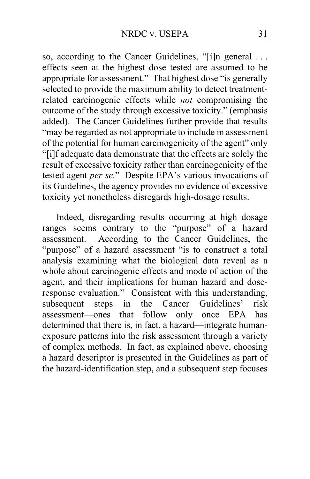so, according to the Cancer Guidelines, "[i]n general . . . effects seen at the highest dose tested are assumed to be appropriate for assessment." That highest dose "is generally selected to provide the maximum ability to detect treatmentrelated carcinogenic effects while *not* compromising the outcome of the study through excessive toxicity." (emphasis added).The Cancer Guidelines further provide that results "may be regarded as not appropriate to include in assessment of the potential for human carcinogenicity of the agent" only "[i]f adequate data demonstrate that the effects are solely the result of excessive toxicity rather than carcinogenicity of the tested agent *per se.*"Despite EPA's various invocations of its Guidelines, the agency provides no evidence of excessive toxicity yet nonetheless disregards high-dosage results.

Indeed, disregarding results occurring at high dosage ranges seems contrary to the "purpose" of a hazard assessment. According to the Cancer Guidelines, the "purpose" of a hazard assessment "is to construct a total analysis examining what the biological data reveal as a whole about carcinogenic effects and mode of action of the agent, and their implications for human hazard and doseresponse evaluation." Consistent with this understanding, subsequent steps in the Cancer Guidelines' risk subsequent steps in the Cancer Guidelines' risk assessment—ones that follow only once EPA has determined that there is, in fact, a hazard—integrate humanexposure patterns into the risk assessment through a variety of complex methods. In fact, as explained above, choosing a hazard descriptor is presented in the Guidelines as part of the hazard-identification step, and a subsequent step focuses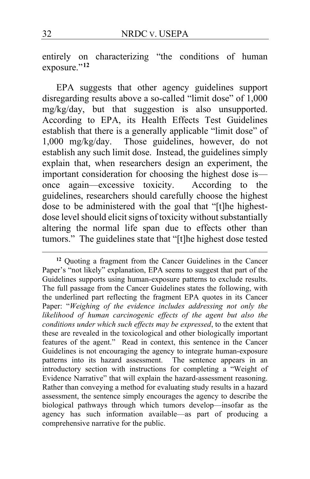entirely on characterizing "the conditions of human exposure."**[12](#page-31-0)**

EPA suggests that other agency guidelines support disregarding results above a so-called "limit dose" of 1,000 mg/kg/day, but that suggestion is also unsupported. According to EPA, its Health Effects Test Guidelines establish that there is a generally applicable "limit dose" of 1,000 mg/kg/day. Those guidelines, however, do not establish any such limit dose. Instead, the guidelines simply explain that, when researchers design an experiment, the important consideration for choosing the highest dose is once again—excessive toxicity. According to the guidelines, researchers should carefully choose the highest dose to be administered with the goal that "[t]he highestdose level should elicit signs of toxicity without substantially altering the normal life span due to effects other than tumors." The guidelines state that "[t]he highest dose tested

<span id="page-31-0"></span>**<sup>12</sup>** Quoting a fragment from the Cancer Guidelines in the Cancer Paper's "not likely" explanation, EPA seems to suggest that part of the Guidelines supports using human-exposure patterns to exclude results. The full passage from the Cancer Guidelines states the following, with the underlined part reflecting the fragment EPA quotes in its Cancer Paper: "*Weighing of the evidence includes addressing not only the likelihood of human carcinogenic effects of the agent but also the conditions under which such effects may be expressed*, to the extent that these are revealed in the toxicological and other biologically important features of the agent." Read in context, this sentence in the Cancer Guidelines is not encouraging the agency to integrate human-exposure patterns into its hazard assessment. The sentence appears in an introductory section with instructions for completing a "Weight of Evidence Narrative" that will explain the hazard-assessment reasoning. Rather than conveying a method for evaluating study results in a hazard assessment, the sentence simply encourages the agency to describe the biological pathways through which tumors develop—insofar as the agency has such information available—as part of producing a comprehensive narrative for the public.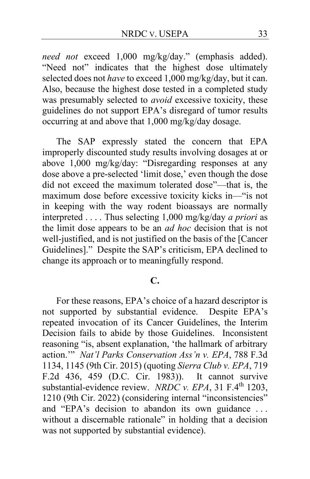*need not* exceed 1,000 mg/kg/day." (emphasis added). "Need not" indicates that the highest dose ultimately selected does not *have* to exceed 1,000 mg/kg/day, but it can. Also, because the highest dose tested in a completed study was presumably selected to *avoid* excessive toxicity, these guidelines do not support EPA's disregard of tumor results occurring at and above that 1,000 mg/kg/day dosage.

The SAP expressly stated the concern that EPA improperly discounted study results involving dosages at or above 1,000 mg/kg/day: "Disregarding responses at any dose above a pre-selected 'limit dose,' even though the dose did not exceed the maximum tolerated dose"—that is, the maximum dose before excessive toxicity kicks in—"is not in keeping with the way rodent bioassays are normally interpreted . . . . Thus selecting 1,000 mg/kg/day *a priori* as the limit dose appears to be an *ad hoc* decision that is not well-justified, and is not justified on the basis of the [Cancer Guidelines]." Despite the SAP's criticism, EPA declined to change its approach or to meaningfully respond.

### **C.**

For these reasons, EPA's choice of a hazard descriptor is not supported by substantial evidence. Despite EPA's repeated invocation of its Cancer Guidelines, the Interim Decision fails to abide by those Guidelines. Inconsistent reasoning "is, absent explanation, 'the hallmark of arbitrary action.'" *Nat'l Parks Conservation Ass'n v. EPA*, 788 F.3d 1134, 1145 (9th Cir. 2015) (quoting *Sierra Club v. EPA*, 719 F.2d 436, 459 (D.C. Cir. 1983)). It cannot survive substantial-evidence review. *NRDC v. EPA*, 31 F.4<sup>th</sup> 1203, 1210 (9th Cir. 2022) (considering internal "inconsistencies" and "EPA's decision to abandon its own guidance . . . without a discernable rationale" in holding that a decision was not supported by substantial evidence).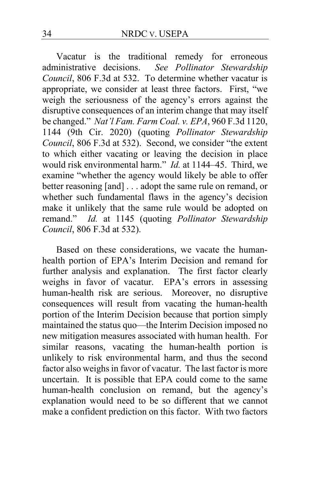Vacatur is the traditional remedy for erroneous administrative decisions. *See Pollinator Stewardship Council*, 806 F.3d at 532. To determine whether vacatur is appropriate, we consider at least three factors. First, "we weigh the seriousness of the agency's errors against the disruptive consequences of an interim change that may itself be changed." *Nat'l Fam. Farm Coal. v. EPA*, 960 F.3d 1120, 1144 (9th Cir. 2020) (quoting *Pollinator Stewardship Council*, 806 F.3d at 532). Second, we consider "the extent to which either vacating or leaving the decision in place would risk environmental harm." *Id.* at 1144–45. Third, we examine "whether the agency would likely be able to offer better reasoning [and] . . . adopt the same rule on remand, or whether such fundamental flaws in the agency's decision make it unlikely that the same rule would be adopted on remand." *Id.* at 1145 (quoting *Pollinator Stewardship Council*, 806 F.3d at 532).

Based on these considerations, we vacate the humanhealth portion of EPA's Interim Decision and remand for further analysis and explanation. The first factor clearly weighs in favor of vacatur. EPA's errors in assessing human-health risk are serious. Moreover, no disruptive consequences will result from vacating the human-health portion of the Interim Decision because that portion simply maintained the status quo—the Interim Decision imposed no new mitigation measures associated with human health. For similar reasons, vacating the human-health portion is unlikely to risk environmental harm, and thus the second factor also weighs in favor of vacatur. The last factor is more uncertain. It is possible that EPA could come to the same human-health conclusion on remand, but the agency's explanation would need to be so different that we cannot make a confident prediction on this factor. With two factors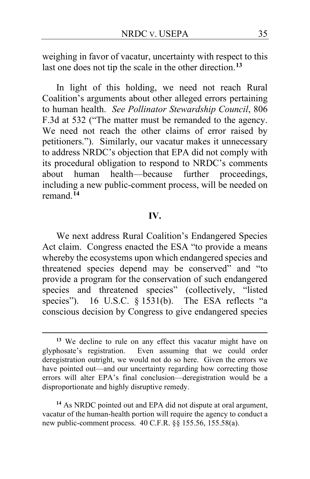weighing in favor of vacatur, uncertainty with respect to this last one does not tip the scale in the other direction.**[13](#page-34-0)**

In light of this holding, we need not reach Rural Coalition's arguments about other alleged errors pertaining to human health. *See Pollinator Stewardship Council*, 806 F.3d at 532 ("The matter must be remanded to the agency. We need not reach the other claims of error raised by petitioners."). Similarly, our vacatur makes it unnecessary to address NRDC's objection that EPA did not comply with its procedural obligation to respond to NRDC's comments about human health—because further proceedings, including a new public-comment process, will be needed on remand.**[14](#page-34-1)**

#### **IV.**

We next address Rural Coalition's Endangered Species Act claim. Congress enacted the ESA "to provide a means whereby the ecosystems upon which endangered species and threatened species depend may be conserved" and "to provide a program for the conservation of such endangered species and threatened species" (collectively, "listed species"). 16 U.S.C. § 1531(b). The ESA reflects "a conscious decision by Congress to give endangered species

<span id="page-34-0"></span>**<sup>13</sup>** We decline to rule on any effect this vacatur might have on glyphosate's registration. Even assuming that we could order deregistration outright, we would not do so here. Given the errors we have pointed out—and our uncertainty regarding how correcting those errors will alter EPA's final conclusion—deregistration would be a disproportionate and highly disruptive remedy.

<span id="page-34-1"></span>**<sup>14</sup>** As NRDC pointed out and EPA did not dispute at oral argument, vacatur of the human-health portion will require the agency to conduct a new public-comment process. 40 C.F.R. §§ 155.56, 155.58(a).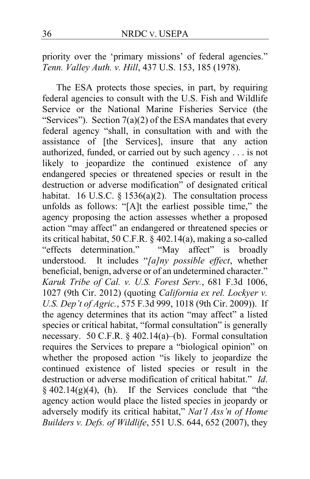priority over the 'primary missions' of federal agencies." *Tenn. Valley Auth. v. Hill*, 437 U.S. 153, 185 (1978).

The ESA protects those species, in part, by requiring federal agencies to consult with the U.S. Fish and Wildlife Service or the National Marine Fisheries Service (the "Services"). Section  $7(a)(2)$  of the ESA mandates that every federal agency "shall, in consultation with and with the assistance of [the Services], insure that any action authorized, funded, or carried out by such agency . . . is not likely to jeopardize the continued existence of any endangered species or threatened species or result in the destruction or adverse modification" of designated critical habitat. 16 U.S.C. § 1536(a)(2). The consultation process unfolds as follows: "[A]t the earliest possible time," the agency proposing the action assesses whether a proposed action "may affect" an endangered or threatened species or its critical habitat, 50 C.F.R. § 402.14(a), making a so-called "effects determination." "May affect" is broadly understood. It includes "*[a]ny possible effect*, whether beneficial, benign, adverse or of an undetermined character." *Karuk Tribe of Cal. v. U.S. Forest Serv.*, 681 F.3d 1006, 1027 (9th Cir. 2012) (quoting *California ex rel. Lockyer v. U.S. Dep't of Agric.*, 575 F.3d 999, 1018 (9th Cir. 2009)). If the agency determines that its action "may affect" a listed species or critical habitat, "formal consultation" is generally necessary. 50 C.F.R. § 402.14(a)–(b). Formal consultation requires the Services to prepare a "biological opinion" on whether the proposed action "is likely to jeopardize the continued existence of listed species or result in the destruction or adverse modification of critical habitat." *Id*.  $§$  402.14(g)(4), (h). If the Services conclude that "the agency action would place the listed species in jeopardy or adversely modify its critical habitat," *Nat'l Ass'n of Home Builders v. Defs. of Wildlife*, 551 U.S. 644, 652 (2007), they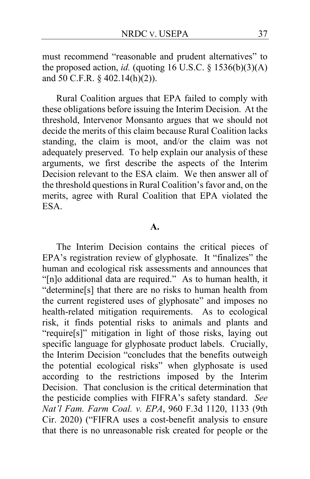must recommend "reasonable and prudent alternatives" to the proposed action, *id.* (quoting 16 U.S.C. § 1536(b)(3)(A) and 50 C.F.R. § 402.14(h)(2)).

Rural Coalition argues that EPA failed to comply with these obligations before issuing the Interim Decision. At the threshold, Intervenor Monsanto argues that we should not decide the merits of this claim because Rural Coalition lacks standing, the claim is moot, and/or the claim was not adequately preserved. To help explain our analysis of these arguments, we first describe the aspects of the Interim Decision relevant to the ESA claim. We then answer all of the threshold questions in Rural Coalition's favor and, on the merits, agree with Rural Coalition that EPA violated the ESA.

#### **A.**

The Interim Decision contains the critical pieces of EPA's registration review of glyphosate. It "finalizes" the human and ecological risk assessments and announces that "[n]o additional data are required."As to human health, it "determine[s] that there are no risks to human health from the current registered uses of glyphosate" and imposes no health-related mitigation requirements. As to ecological risk, it finds potential risks to animals and plants and "require[s]" mitigation in light of those risks, laying out specific language for glyphosate product labels. Crucially, the Interim Decision "concludes that the benefits outweigh the potential ecological risks" when glyphosate is used according to the restrictions imposed by the Interim Decision. That conclusion is the critical determination that the pesticide complies with FIFRA's safety standard. *See Nat'l Fam. Farm Coal. v. EPA*, 960 F.3d 1120, 1133 (9th Cir. 2020) ("FIFRA uses a cost-benefit analysis to ensure that there is no unreasonable risk created for people or the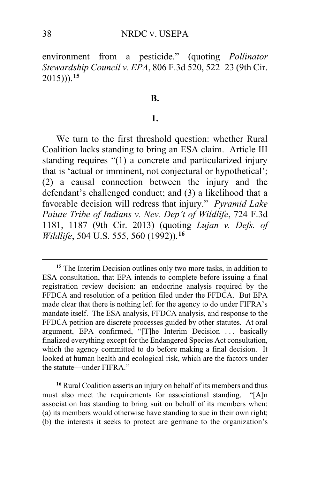environment from a pesticide." (quoting *Pollinator Stewardship Council v. EPA*, 806 F.3d 520, 522–23 (9th Cir. 2015))).**[15](#page-37-0)**

#### **B.**

#### **1.**

We turn to the first threshold question: whether Rural Coalition lacks standing to bring an ESA claim. Article III standing requires "(1) a concrete and particularized injury that is 'actual or imminent, not conjectural or hypothetical'; (2) a causal connection between the injury and the defendant's challenged conduct; and (3) a likelihood that a favorable decision will redress that injury." *Pyramid Lake Paiute Tribe of Indians v. Nev. Dep't of Wildlife*, 724 F.3d 1181, 1187 (9th Cir. 2013) (quoting *Lujan v. Defs. of Wildlife*, 504 U.S. 555, 560 (1992)).**[16](#page-37-1)**

<span id="page-37-1"></span>**<sup>16</sup>** Rural Coalition asserts an injury on behalf of its members and thus must also meet the requirements for associational standing. "[A]n association has standing to bring suit on behalf of its members when: (a) its members would otherwise have standing to sue in their own right; (b) the interests it seeks to protect are germane to the organization's

<span id="page-37-0"></span>**<sup>15</sup>** The Interim Decision outlines only two more tasks, in addition to ESA consultation, that EPA intends to complete before issuing a final registration review decision: an endocrine analysis required by the FFDCA and resolution of a petition filed under the FFDCA. But EPA made clear that there is nothing left for the agency to do under FIFRA's mandate itself. The ESA analysis, FFDCA analysis, and response to the FFDCA petition are discrete processes guided by other statutes. At oral argument, EPA confirmed, "[T]he Interim Decision ... basically finalized everything except for the Endangered Species Act consultation, which the agency committed to do before making a final decision. It looked at human health and ecological risk, which are the factors under the statute—under FIFRA."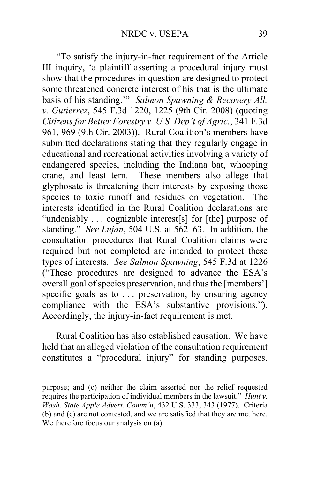"To satisfy the injury-in-fact requirement of the Article III inquiry, 'a plaintiff asserting a procedural injury must show that the procedures in question are designed to protect some threatened concrete interest of his that is the ultimate basis of his standing.'" *Salmon Spawning & Recovery All. v. Gutierrez*, 545 F.3d 1220, 1225 (9th Cir. 2008) (quoting *Citizens for Better Forestry v. U.S. Dep't of Agric.*, 341 F.3d 961, 969 (9th Cir. 2003)). Rural Coalition's members have submitted declarations stating that they regularly engage in educational and recreational activities involving a variety of endangered species, including the Indiana bat, whooping crane, and least tern. These members also allege that glyphosate is threatening their interests by exposing those species to toxic runoff and residues on vegetation. The interests identified in the Rural Coalition declarations are "undeniably . . . cognizable interest[s] for [the] purpose of standing." *See Lujan*, 504 U.S. at 562–63. In addition, the consultation procedures that Rural Coalition claims were required but not completed are intended to protect these types of interests. *See Salmon Spawning*, 545 F.3d at 1226 ("These procedures are designed to advance the ESA's overall goal of species preservation, and thus the [members'] specific goals as to ... preservation, by ensuring agency compliance with the ESA's substantive provisions."). Accordingly, the injury-in-fact requirement is met.

Rural Coalition has also established causation. We have held that an alleged violation of the consultation requirement constitutes a "procedural injury" for standing purposes.

purpose; and (c) neither the claim asserted nor the relief requested requires the participation of individual members in the lawsuit." *Hunt v. Wash. State Apple Advert. Comm'n*, 432 U.S. 333, 343 (1977). Criteria (b) and (c) are not contested, and we are satisfied that they are met here. We therefore focus our analysis on (a).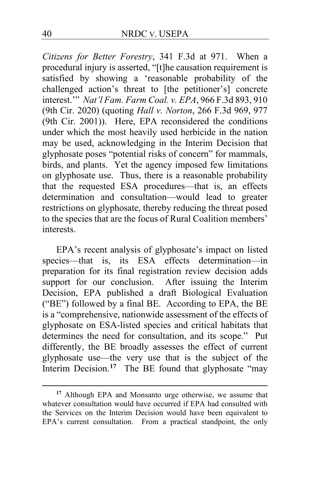*Citizens for Better Forestry*, 341 F.3d at 971. When a procedural injury is asserted, "[t]he causation requirement is satisfied by showing a 'reasonable probability of the challenged action's threat to [the petitioner's] concrete interest.'" *Nat'l Fam. Farm Coal. v. EPA*, 966 F.3d 893, 910 (9th Cir. 2020) (quoting *Hall v. Norton*, 266 F.3d 969, 977 (9th Cir. 2001)). Here, EPA reconsidered the conditions under which the most heavily used herbicide in the nation may be used, acknowledging in the Interim Decision that glyphosate poses "potential risks of concern" for mammals, birds, and plants. Yet the agency imposed few limitations on glyphosate use. Thus, there is a reasonable probability that the requested ESA procedures—that is, an effects determination and consultation—would lead to greater restrictions on glyphosate, thereby reducing the threat posed to the species that are the focus of Rural Coalition members' interests.

EPA's recent analysis of glyphosate's impact on listed species—that is, its ESA effects determination—in preparation for its final registration review decision adds support for our conclusion. After issuing the Interim Decision, EPA published a draft Biological Evaluation ("BE") followed by a final BE. According to EPA, the BE is a "comprehensive, nationwide assessment of the effects of glyphosate on ESA-listed species and critical habitats that determines the need for consultation, and its scope." Put differently, the BE broadly assesses the effect of current glyphosate use—the very use that is the subject of the Interim Decision.<sup>[17](#page-39-0)</sup> The BE found that glyphosate "may

<span id="page-39-0"></span>**<sup>17</sup>** Although EPA and Monsanto urge otherwise, we assume that whatever consultation would have occurred if EPA had consulted with the Services on the Interim Decision would have been equivalent to EPA's current consultation. From a practical standpoint, the only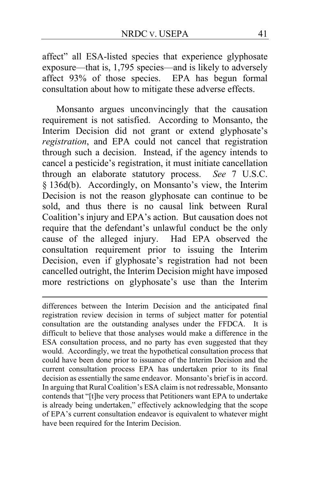affect" all ESA-listed species that experience glyphosate exposure—that is, 1,795 species—and is likely to adversely affect 93% of those species. EPA has begun formal consultation about how to mitigate these adverse effects.

Monsanto argues unconvincingly that the causation requirement is not satisfied. According to Monsanto, the Interim Decision did not grant or extend glyphosate's *registration*, and EPA could not cancel that registration through such a decision. Instead, if the agency intends to cancel a pesticide's registration, it must initiate cancellation through an elaborate statutory process. *See* 7 U.S.C. § 136d(b). Accordingly, on Monsanto's view, the Interim Decision is not the reason glyphosate can continue to be sold, and thus there is no causal link between Rural Coalition's injury and EPA's action. But causation does not require that the defendant's unlawful conduct be the only cause of the alleged injury. Had EPA observed the consultation requirement prior to issuing the Interim Decision, even if glyphosate's registration had not been cancelled outright, the Interim Decision might have imposed more restrictions on glyphosate's use than the Interim

differences between the Interim Decision and the anticipated final registration review decision in terms of subject matter for potential consultation are the outstanding analyses under the FFDCA. It is difficult to believe that those analyses would make a difference in the ESA consultation process, and no party has even suggested that they would. Accordingly, we treat the hypothetical consultation process that could have been done prior to issuance of the Interim Decision and the current consultation process EPA has undertaken prior to its final decision as essentially the same endeavor. Monsanto's brief is in accord. In arguing that Rural Coalition's ESA claim is not redressable, Monsanto contends that "[t]he very process that Petitioners want EPA to undertake is already being undertaken," effectively acknowledging that the scope of EPA's current consultation endeavor is equivalent to whatever might have been required for the Interim Decision.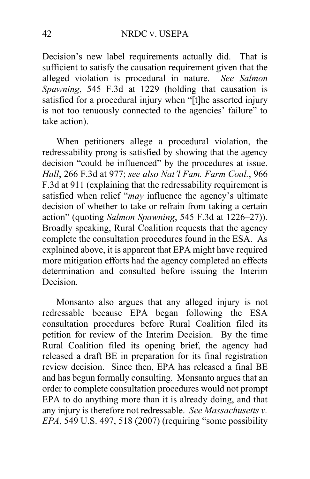Decision's new label requirements actually did. That is sufficient to satisfy the causation requirement given that the alleged violation is procedural in nature. *See Salmon Spawning*, 545 F.3d at 1229 (holding that causation is satisfied for a procedural injury when "[t]he asserted injury is not too tenuously connected to the agencies' failure" to take action).

When petitioners allege a procedural violation, the redressability prong is satisfied by showing that the agency decision "could be influenced" by the procedures at issue. *Hall*, 266 F.3d at 977; *see also Nat'l Fam. Farm Coal.*, 966 F.3d at 911 (explaining that the redressability requirement is satisfied when relief "*may* influence the agency's ultimate decision of whether to take or refrain from taking a certain action" (quoting *Salmon Spawning*, 545 F.3d at 1226–27)). Broadly speaking, Rural Coalition requests that the agency complete the consultation procedures found in the ESA. As explained above, it is apparent that EPA might have required more mitigation efforts had the agency completed an effects determination and consulted before issuing the Interim Decision.

Monsanto also argues that any alleged injury is not redressable because EPA began following the ESA consultation procedures before Rural Coalition filed its petition for review of the Interim Decision. By the time Rural Coalition filed its opening brief, the agency had released a draft BE in preparation for its final registration review decision. Since then, EPA has released a final BE and has begun formally consulting. Monsanto argues that an order to complete consultation procedures would not prompt EPA to do anything more than it is already doing, and that any injury is therefore not redressable. *See Massachusetts v. EPA*, 549 U.S. 497, 518 (2007) (requiring "some possibility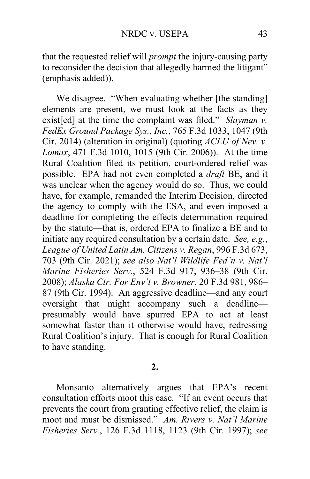that the requested relief will *prompt* the injury-causing party to reconsider the decision that allegedly harmed the litigant" (emphasis added)).

We disagree. "When evaluating whether [the standing] elements are present, we must look at the facts as they exist[ed] at the time the complaint was filed." *Slayman v. FedEx Ground Package Sys., Inc.*, 765 F.3d 1033, 1047 (9th Cir. 2014) (alteration in original) (quoting *ACLU of Nev. v. Lomax*, 471 F.3d 1010, 1015 (9th Cir. 2006)). At the time Rural Coalition filed its petition, court-ordered relief was possible. EPA had not even completed a *draft* BE, and it was unclear when the agency would do so. Thus, we could have, for example, remanded the Interim Decision, directed the agency to comply with the ESA, and even imposed a deadline for completing the effects determination required by the statute—that is, ordered EPA to finalize a BE and to initiate any required consultation by a certain date. *See, e.g.*, *League of United Latin Am. Citizens v. Regan*, 996 F.3d 673, 703 (9th Cir. 2021); *see also Nat'l Wildlife Fed'n v. Nat'l Marine Fisheries Serv.*, 524 F.3d 917, 936–38 (9th Cir. 2008); *Alaska Ctr. For Env't v. Browner*, 20 F.3d 981, 986– 87 (9th Cir. 1994). An aggressive deadline—and any court oversight that might accompany such a deadline presumably would have spurred EPA to act at least somewhat faster than it otherwise would have, redressing Rural Coalition's injury. That is enough for Rural Coalition to have standing.

#### **2.**

Monsanto alternatively argues that EPA's recent consultation efforts moot this case. "If an event occurs that prevents the court from granting effective relief, the claim is moot and must be dismissed." *Am. Rivers v. Nat'l Marine Fisheries Serv.*, 126 F.3d 1118, 1123 (9th Cir. 1997); *see*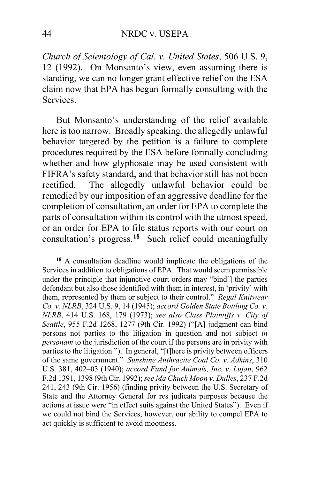*Church of Scientology of Cal. v. United States*, 506 U.S. 9, 12 (1992). On Monsanto's view, even assuming there is standing, we can no longer grant effective relief on the ESA claim now that EPA has begun formally consulting with the Services.

But Monsanto's understanding of the relief available here is too narrow. Broadly speaking, the allegedly unlawful behavior targeted by the petition is a failure to complete procedures required by the ESA before formally concluding whether and how glyphosate may be used consistent with FIFRA's safety standard, and that behavior still has not been rectified. The allegedly unlawful behavior could be remedied by our imposition of an aggressive deadline for the completion of consultation, an order for EPA to complete the parts of consultation within its control with the utmost speed, or an order for EPA to file status reports with our court on consultation's progress.**[18](#page-43-0)** Such relief could meaningfully

<span id="page-43-0"></span>**<sup>18</sup>** A consultation deadline would implicate the obligations of the Services in addition to obligations of EPA. That would seem permissible under the principle that injunctive court orders may "bind[] the parties defendant but also those identified with them in interest, in 'privity' with them, represented by them or subject to their control." *Regal Knitwear Co. v. NLRB*, 324 U.S. 9, 14 (1945); *accord Golden State Bottling Co. v. NLRB*, 414 U.S. 168, 179 (1973); *see also Class Plaintiffs v. City of Seattle*, 955 F.2d 1268, 1277 (9th Cir. 1992) ("[A] judgment can bind persons not parties to the litigation in question and not subject *in personam* to the jurisdiction of the court if the persons are in privity with parties to the litigation."). In general, "[t]here is privity between officers of the same government." *Sunshine Anthracite Coal Co. v. Adkins*, 310 U.S. 381, 402–03 (1940); *accord Fund for Animals, Inc. v. Lujan*, 962 F.2d 1391, 1398 (9th Cir. 1992); *see Ma Chuck Moon v. Dulles*, 237 F.2d 241, 243 (9th Cir. 1956) (finding privity between the U.S. Secretary of State and the Attorney General for res judicata purposes because the actions at issue were "in effect suits against the United States"). Even if we could not bind the Services, however, our ability to compel EPA to act quickly is sufficient to avoid mootness.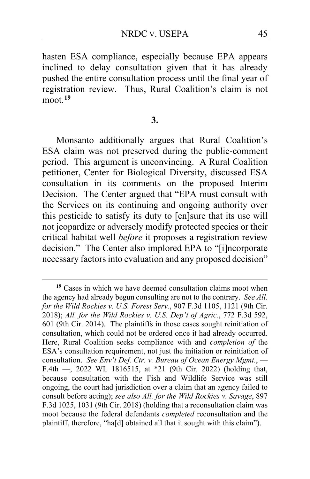hasten ESA compliance, especially because EPA appears inclined to delay consultation given that it has already pushed the entire consultation process until the final year of registration review. Thus, Rural Coalition's claim is not moot.**[19](#page-44-0)**

#### **3.**

Monsanto additionally argues that Rural Coalition's ESA claim was not preserved during the public-comment period. This argument is unconvincing. A Rural Coalition petitioner, Center for Biological Diversity, discussed ESA consultation in its comments on the proposed Interim Decision. The Center argued that "EPA must consult with the Services on its continuing and ongoing authority over this pesticide to satisfy its duty to [en]sure that its use will not jeopardize or adversely modify protected species or their critical habitat well *before* it proposes a registration review decision." The Center also implored EPA to "[i]ncorporate necessary factors into evaluation and any proposed decision"

<span id="page-44-0"></span>**<sup>19</sup>** Cases in which we have deemed consultation claims moot when the agency had already begun consulting are not to the contrary. *See All. for the Wild Rockies v. U.S. Forest Serv.*, 907 F.3d 1105, 1121 (9th Cir. 2018); *All. for the Wild Rockies v. U.S. Dep't of Agric.*, 772 F.3d 592, 601 (9th Cir. 2014). The plaintiffs in those cases sought reinitiation of consultation, which could not be ordered once it had already occurred. Here, Rural Coalition seeks compliance with and *completion of* the ESA's consultation requirement, not just the initiation or reinitiation of consultation. *See Env't Def. Ctr. v. Bureau of Ocean Energy Mgmt.*, — F.4th —, 2022 WL 1816515, at \*21 (9th Cir. 2022) (holding that, because consultation with the Fish and Wildlife Service was still ongoing, the court had jurisdiction over a claim that an agency failed to consult before acting); *see also All. for the Wild Rockies v. Savage*, 897 F.3d 1025, 1031 (9th Cir. 2018) (holding that a reconsultation claim was moot because the federal defendants *completed* reconsultation and the plaintiff, therefore, "ha[d] obtained all that it sought with this claim").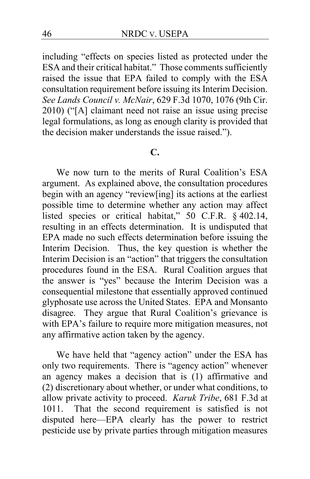including "effects on species listed as protected under the ESA and their critical habitat." Those comments sufficiently raised the issue that EPA failed to comply with the ESA consultation requirement before issuing its Interim Decision. *See Lands Council v. McNair*, 629 F.3d 1070, 1076 (9th Cir. 2010) ("[A] claimant need not raise an issue using precise legal formulations, as long as enough clarity is provided that the decision maker understands the issue raised.").

# **C.**

We now turn to the merits of Rural Coalition's ESA argument. As explained above, the consultation procedures begin with an agency "review[ing] its actions at the earliest possible time to determine whether any action may affect listed species or critical habitat," 50 C.F.R. § 402.14, resulting in an effects determination. It is undisputed that EPA made no such effects determination before issuing the Interim Decision. Thus, the key question is whether the Interim Decision is an "action" that triggers the consultation procedures found in the ESA. Rural Coalition argues that the answer is "yes" because the Interim Decision was a consequential milestone that essentially approved continued glyphosate use across the United States. EPA and Monsanto disagree. They argue that Rural Coalition's grievance is with EPA's failure to require more mitigation measures, not any affirmative action taken by the agency.

We have held that "agency action" under the ESA has only two requirements. There is "agency action" whenever an agency makes a decision that is (1) affirmative and (2) discretionary about whether, or under what conditions, to allow private activity to proceed. *Karuk Tribe*, 681 F.3d at 1011. That the second requirement is satisfied is not disputed here—EPA clearly has the power to restrict pesticide use by private parties through mitigation measures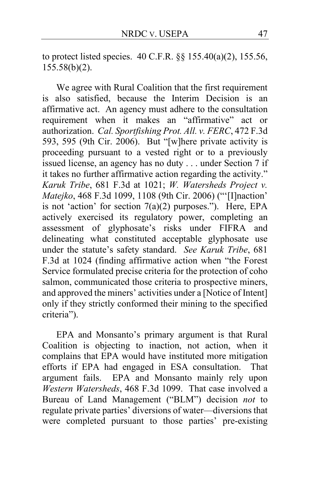to protect listed species. 40 C.F.R. §§ 155.40(a)(2), 155.56,  $155.58(b)(2)$ .

We agree with Rural Coalition that the first requirement is also satisfied, because the Interim Decision is an affirmative act. An agency must adhere to the consultation requirement when it makes an "affirmative" act or authorization. *Cal. Sportfishing Prot. All. v. FERC*, 472 F.3d 593, 595 (9th Cir. 2006). But "[w]here private activity is proceeding pursuant to a vested right or to a previously issued license, an agency has no duty . . . under Section 7 if it takes no further affirmative action regarding the activity." *Karuk Tribe*, 681 F.3d at 1021; *W. Watersheds Project v. Matejko*, 468 F.3d 1099, 1108 (9th Cir. 2006) ("'[I]naction' is not 'action' for section  $7(a)(2)$  purposes."). Here, EPA actively exercised its regulatory power, completing an assessment of glyphosate's risks under FIFRA and delineating what constituted acceptable glyphosate use under the statute's safety standard. *See Karuk Tribe*, 681 F.3d at 1024 (finding affirmative action when "the Forest Service formulated precise criteria for the protection of coho salmon, communicated those criteria to prospective miners, and approved the miners' activities under a [Notice of Intent] only if they strictly conformed their mining to the specified criteria").

EPA and Monsanto's primary argument is that Rural Coalition is objecting to inaction, not action, when it complains that EPA would have instituted more mitigation efforts if EPA had engaged in ESA consultation. That argument fails. EPA and Monsanto mainly rely upon *Western Watersheds*, 468 F.3d 1099. That case involved a Bureau of Land Management ("BLM") decision *not* to regulate private parties' diversions of water—diversions that were completed pursuant to those parties' pre-existing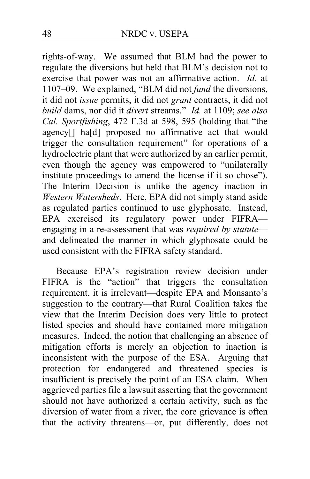rights-of-way. We assumed that BLM had the power to regulate the diversions but held that BLM's decision not to exercise that power was not an affirmative action. *Id.* at 1107–09. We explained, "BLM did not *fund* the diversions, it did not *issue* permits, it did not *grant* contracts, it did not *build* dams, nor did it *divert* streams." *Id.* at 1109; *see also Cal. Sportfishing*, 472 F.3d at 598, 595 (holding that "the agency[] ha[d] proposed no affirmative act that would trigger the consultation requirement" for operations of a hydroelectric plant that were authorized by an earlier permit, even though the agency was empowered to "unilaterally institute proceedings to amend the license if it so chose"). The Interim Decision is unlike the agency inaction in *Western Watersheds*. Here, EPA did not simply stand aside as regulated parties continued to use glyphosate. Instead, EPA exercised its regulatory power under FIFRA engaging in a re-assessment that was *required by statute* and delineated the manner in which glyphosate could be used consistent with the FIFRA safety standard.

Because EPA's registration review decision under FIFRA is the "action" that triggers the consultation requirement, it is irrelevant—despite EPA and Monsanto's suggestion to the contrary—that Rural Coalition takes the view that the Interim Decision does very little to protect listed species and should have contained more mitigation measures. Indeed, the notion that challenging an absence of mitigation efforts is merely an objection to inaction is inconsistent with the purpose of the ESA. Arguing that protection for endangered and threatened species is insufficient is precisely the point of an ESA claim. When aggrieved parties file a lawsuit asserting that the government should not have authorized a certain activity, such as the diversion of water from a river, the core grievance is often that the activity threatens—or, put differently, does not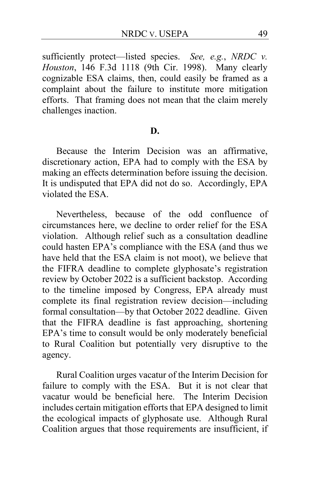sufficiently protect—listed species. *See, e.g.*, *NRDC v. Houston*, 146 F.3d 1118 (9th Cir. 1998). Many clearly cognizable ESA claims, then, could easily be framed as a complaint about the failure to institute more mitigation efforts. That framing does not mean that the claim merely challenges inaction.

#### **D.**

Because the Interim Decision was an affirmative, discretionary action, EPA had to comply with the ESA by making an effects determination before issuing the decision. It is undisputed that EPA did not do so. Accordingly, EPA violated the ESA.

Nevertheless, because of the odd confluence of circumstances here, we decline to order relief for the ESA violation. Although relief such as a consultation deadline could hasten EPA's compliance with the ESA (and thus we have held that the ESA claim is not moot), we believe that the FIFRA deadline to complete glyphosate's registration review by October 2022 is a sufficient backstop. According to the timeline imposed by Congress, EPA already must complete its final registration review decision—including formal consultation—by that October 2022 deadline. Given that the FIFRA deadline is fast approaching, shortening EPA's time to consult would be only moderately beneficial to Rural Coalition but potentially very disruptive to the agency.

Rural Coalition urges vacatur of the Interim Decision for failure to comply with the ESA. But it is not clear that vacatur would be beneficial here. The Interim Decision includes certain mitigation efforts that EPA designed to limit the ecological impacts of glyphosate use. Although Rural Coalition argues that those requirements are insufficient, if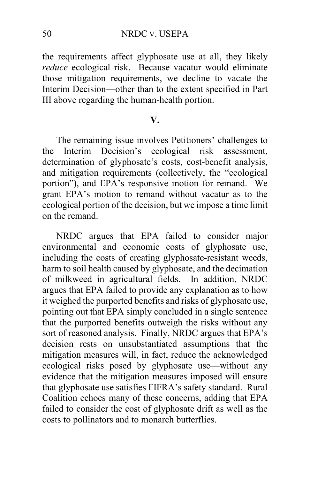the requirements affect glyphosate use at all, they likely *reduce* ecological risk. Because vacatur would eliminate those mitigation requirements, we decline to vacate the Interim Decision—other than to the extent specified in Part III above regarding the human-health portion.

### **V.**

The remaining issue involves Petitioners' challenges to the Interim Decision's ecological risk assessment, determination of glyphosate's costs, cost-benefit analysis, and mitigation requirements (collectively, the "ecological portion"), and EPA's responsive motion for remand. We grant EPA's motion to remand without vacatur as to the ecological portion of the decision, but we impose a time limit on the remand.

NRDC argues that EPA failed to consider major environmental and economic costs of glyphosate use, including the costs of creating glyphosate-resistant weeds, harm to soil health caused by glyphosate, and the decimation of milkweed in agricultural fields. In addition, NRDC argues that EPA failed to provide any explanation as to how it weighed the purported benefits and risks of glyphosate use, pointing out that EPA simply concluded in a single sentence that the purported benefits outweigh the risks without any sort of reasoned analysis. Finally, NRDC argues that EPA's decision rests on unsubstantiated assumptions that the mitigation measures will, in fact, reduce the acknowledged ecological risks posed by glyphosate use—without any evidence that the mitigation measures imposed will ensure that glyphosate use satisfies FIFRA's safety standard. Rural Coalition echoes many of these concerns, adding that EPA failed to consider the cost of glyphosate drift as well as the costs to pollinators and to monarch butterflies.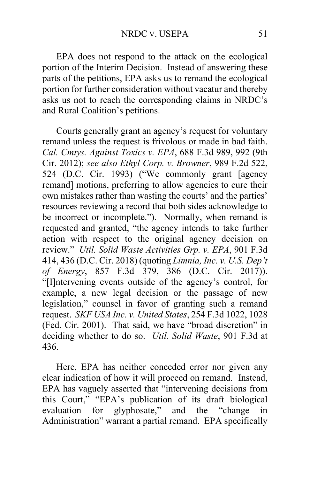EPA does not respond to the attack on the ecological portion of the Interim Decision. Instead of answering these parts of the petitions, EPA asks us to remand the ecological portion for further consideration without vacatur and thereby asks us not to reach the corresponding claims in NRDC's and Rural Coalition's petitions.

Courts generally grant an agency's request for voluntary remand unless the request is frivolous or made in bad faith. *Cal. Cmtys. Against Toxics v. EPA*, 688 F.3d 989, 992 (9th Cir. 2012); *see also Ethyl Corp. v. Browner*, 989 F.2d 522, 524 (D.C. Cir. 1993) ("We commonly grant [agency remand] motions, preferring to allow agencies to cure their own mistakes rather than wasting the courts' and the parties' resources reviewing a record that both sides acknowledge to be incorrect or incomplete."). Normally, when remand is requested and granted, "the agency intends to take further action with respect to the original agency decision on review." *Util. Solid Waste Activities Grp. v. EPA*, 901 F.3d 414, 436 (D.C. Cir. 2018) (quoting *Limnia, Inc. v. U.S. Dep't of Energy*, 857 F.3d 379, 386 (D.C. Cir. 2017)). "[I]ntervening events outside of the agency's control, for example, a new legal decision or the passage of new legislation," counsel in favor of granting such a remand request. *SKF USA Inc. v. United States*, 254 F.3d 1022, 1028 (Fed. Cir. 2001). That said, we have "broad discretion" in deciding whether to do so. *Util. Solid Waste*, 901 F.3d at 436.

Here, EPA has neither conceded error nor given any clear indication of how it will proceed on remand. Instead, EPA has vaguely asserted that "intervening decisions from this Court," "EPA's publication of its draft biological evaluation for glyphosate," and the "change in Administration" warrant a partial remand. EPA specifically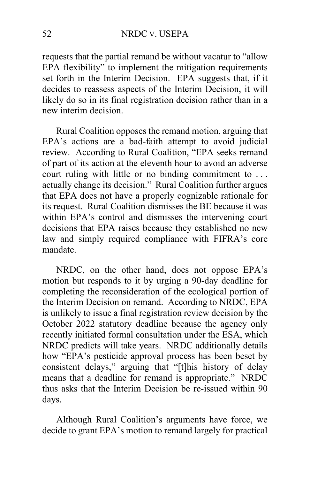requests that the partial remand be without vacatur to "allow EPA flexibility" to implement the mitigation requirements set forth in the Interim Decision. EPA suggests that, if it decides to reassess aspects of the Interim Decision, it will likely do so in its final registration decision rather than in a new interim decision.

Rural Coalition opposes the remand motion, arguing that EPA's actions are a bad-faith attempt to avoid judicial review. According to Rural Coalition, "EPA seeks remand of part of its action at the eleventh hour to avoid an adverse court ruling with little or no binding commitment to . . . actually change its decision." Rural Coalition further argues that EPA does not have a properly cognizable rationale for its request. Rural Coalition dismisses the BE because it was within EPA's control and dismisses the intervening court decisions that EPA raises because they established no new law and simply required compliance with FIFRA's core mandate.

NRDC, on the other hand, does not oppose EPA's motion but responds to it by urging a 90-day deadline for completing the reconsideration of the ecological portion of the Interim Decision on remand. According to NRDC, EPA is unlikely to issue a final registration review decision by the October 2022 statutory deadline because the agency only recently initiated formal consultation under the ESA, which NRDC predicts will take years. NRDC additionally details how "EPA's pesticide approval process has been beset by consistent delays," arguing that "[t]his history of delay means that a deadline for remand is appropriate." NRDC thus asks that the Interim Decision be re-issued within 90 days.

Although Rural Coalition's arguments have force, we decide to grant EPA's motion to remand largely for practical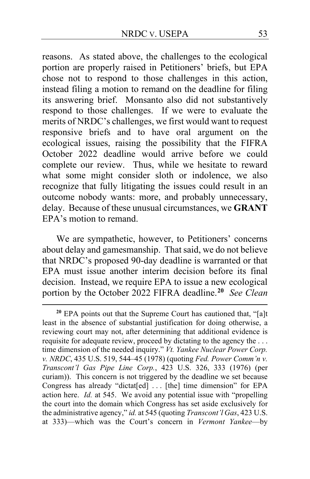reasons. As stated above, the challenges to the ecological portion are properly raised in Petitioners' briefs, but EPA chose not to respond to those challenges in this action, instead filing a motion to remand on the deadline for filing its answering brief. Monsanto also did not substantively respond to those challenges. If we were to evaluate the merits of NRDC's challenges, we first would want to request responsive briefs and to have oral argument on the ecological issues, raising the possibility that the FIFRA October 2022 deadline would arrive before we could complete our review. Thus, while we hesitate to reward what some might consider sloth or indolence, we also recognize that fully litigating the issues could result in an outcome nobody wants: more, and probably unnecessary, delay. Because of these unusual circumstances, we **GRANT** EPA's motion to remand.

We are sympathetic, however, to Petitioners' concerns about delay and gamesmanship. That said, we do not believe that NRDC's proposed 90-day deadline is warranted or that EPA must issue another interim decision before its final decision. Instead, we require EPA to issue a new ecological portion by the October 2022 FIFRA deadline.**[20](#page-52-0)** *See Clean* 

<span id="page-52-0"></span>**<sup>20</sup>** EPA points out that the Supreme Court has cautioned that, "[a]t least in the absence of substantial justification for doing otherwise, a reviewing court may not, after determining that additional evidence is requisite for adequate review, proceed by dictating to the agency the . . . time dimension of the needed inquiry." *Vt. Yankee Nuclear Power Corp. v. NRDC*, 435 U.S. 519, 544–45 (1978) (quoting *Fed. Power Comm'n v. Transcont'l Gas Pipe Line Corp.*, 423 U.S. 326, 333 (1976) (per curiam)). This concern is not triggered by the deadline we set because Congress has already "dictat[ed] ... [the] time dimension" for EPA action here. *Id.* at 545. We avoid any potential issue with "propelling the court into the domain which Congress has set aside exclusively for the administrative agency," *id.* at 545 (quoting *Transcont'l Gas*, 423 U.S. at 333)—which was the Court's concern in *Vermont Yankee*—by